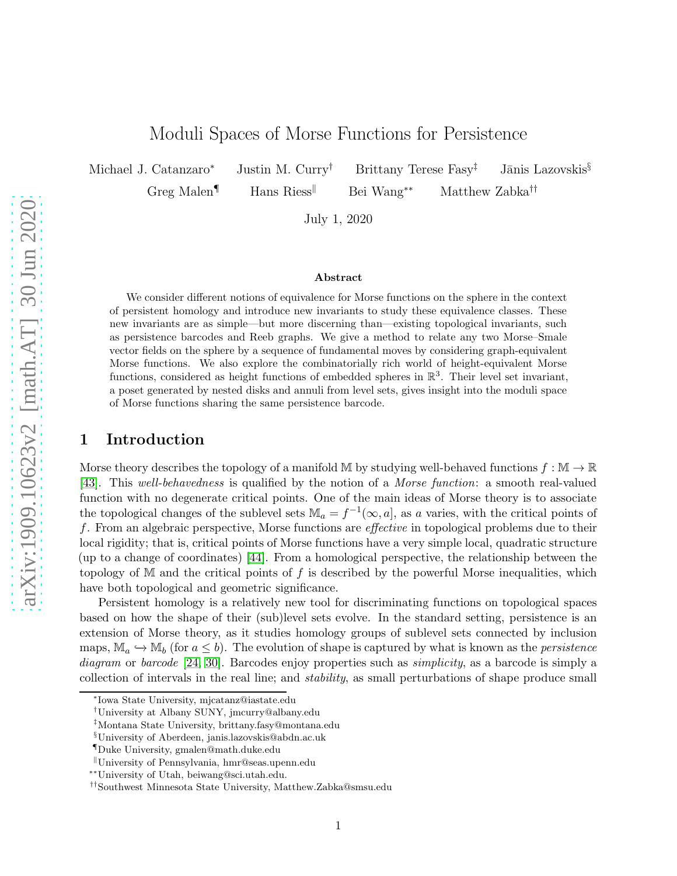# Moduli Spaces of Morse Functions for Persistence

Michael J. Catanzaro<sup>\*</sup> Justin M. Curry<sup>†</sup> Brittany Terese Fasy<sup>†</sup> Jānis Lazovskis<sup>§</sup>

Greg Malen¶ Hans Riess<sup>||</sup> Bei Wang<sup>∗∗</sup> Matthew Zabka<sup>††</sup>

July 1, 2020

#### Abstract

We consider different notions of equivalence for Morse functions on the sphere in the context of persistent homology and introduce new invariants to study these equivalence classes. These new invariants are as simple—but more discerning than—existing topological invariants, such as persistence barcodes and Reeb graphs. We give a method to relate any two Morse–Smale vector fields on the sphere by a sequence of fundamental moves by considering graph-equivalent Morse functions. We also explore the combinatorially rich world of height-equivalent Morse functions, considered as height functions of embedded spheres in  $\mathbb{R}^3$ . Their level set invariant, a poset generated by nested disks and annuli from level sets, gives insight into the moduli space of Morse functions sharing the same persistence barcode.

## <span id="page-0-0"></span>1 Introduction

Morse theory describes the topology of a manifold M by studying well-behaved functions  $f : \mathbb{M} \to \mathbb{R}$ [\[43\]](#page-28-0). This well-behavedness is qualified by the notion of a Morse function: a smooth real-valued function with no degenerate critical points. One of the main ideas of Morse theory is to associate the topological changes of the sublevel sets  $\mathbb{M}_a = f^{-1}(\infty, a]$ , as a varies, with the critical points of f. From an algebraic perspective, Morse functions are effective in topological problems due to their local rigidity; that is, critical points of Morse functions have a very simple local, quadratic structure (up to a change of coordinates) [\[44\]](#page-28-1). From a homological perspective, the relationship between the topology of M and the critical points of f is described by the powerful Morse inequalities, which have both topological and geometric significance.

Persistent homology is a relatively new tool for discriminating functions on topological spaces based on how the shape of their (sub)level sets evolve. In the standard setting, persistence is an extension of Morse theory, as it studies homology groups of sublevel sets connected by inclusion maps,  $\mathbb{M}_a \hookrightarrow \mathbb{M}_b$  (for  $a \leq b$ ). The evolution of shape is captured by what is known as the *persistence* diagram or barcode [\[24,](#page-27-0) [30\]](#page-27-1). Barcodes enjoy properties such as *simplicity*, as a barcode is simply a collection of intervals in the real line; and stability, as small perturbations of shape produce small

<sup>∗</sup> Iowa State University, mjcatanz@iastate.edu

<sup>†</sup>University at Albany SUNY, jmcurry@albany.edu

<sup>‡</sup>Montana State University, brittany.fasy@montana.edu

<sup>§</sup>University of Aberdeen, janis.lazovskis@abdn.ac.uk

<sup>¶</sup>Duke University, gmalen@math.duke.edu

<sup>k</sup>University of Pennsylvania, hmr@seas.upenn.edu

<sup>∗∗</sup>University of Utah, beiwang@sci.utah.edu.

<sup>††</sup>Southwest Minnesota State University, Matthew.Zabka@smsu.edu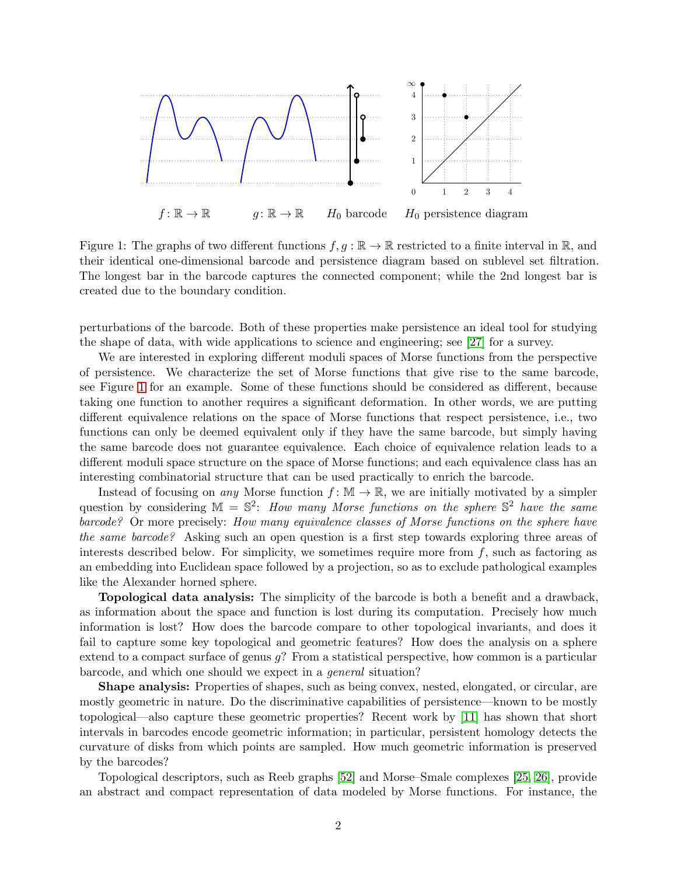

<span id="page-1-0"></span>Figure 1: The graphs of two different functions  $f, g : \mathbb{R} \to \mathbb{R}$  restricted to a finite interval in  $\mathbb{R}$ , and their identical one-dimensional barcode and persistence diagram based on sublevel set filtration. The longest bar in the barcode captures the connected component; while the 2nd longest bar is created due to the boundary condition.

perturbations of the barcode. Both of these properties make persistence an ideal tool for studying the shape of data, with wide applications to science and engineering; see [\[27\]](#page-27-2) for a survey.

We are interested in exploring different moduli spaces of Morse functions from the perspective of persistence. We characterize the set of Morse functions that give rise to the same barcode, see Figure [1](#page-1-0) for an example. Some of these functions should be considered as different, because taking one function to another requires a significant deformation. In other words, we are putting different equivalence relations on the space of Morse functions that respect persistence, i.e., two functions can only be deemed equivalent only if they have the same barcode, but simply having the same barcode does not guarantee equivalence. Each choice of equivalence relation leads to a different moduli space structure on the space of Morse functions; and each equivalence class has an interesting combinatorial structure that can be used practically to enrich the barcode.

Instead of focusing on any Morse function  $f: \mathbb{M} \to \mathbb{R}$ , we are initially motivated by a simpler question by considering  $\mathbb{M} = \mathbb{S}^2$ : How many Morse functions on the sphere  $\mathbb{S}^2$  have the same barcode? Or more precisely: How many equivalence classes of Morse functions on the sphere have the same barcode? Asking such an open question is a first step towards exploring three areas of interests described below. For simplicity, we sometimes require more from  $f$ , such as factoring as an embedding into Euclidean space followed by a projection, so as to exclude pathological examples like the Alexander horned sphere.

Topological data analysis: The simplicity of the barcode is both a benefit and a drawback, as information about the space and function is lost during its computation. Precisely how much information is lost? How does the barcode compare to other topological invariants, and does it fail to capture some key topological and geometric features? How does the analysis on a sphere extend to a compact surface of genus  $g$ ? From a statistical perspective, how common is a particular barcode, and which one should we expect in a general situation?

Shape analysis: Properties of shapes, such as being convex, nested, elongated, or circular, are mostly geometric in nature. Do the discriminative capabilities of persistence—known to be mostly topological—also capture these geometric properties? Recent work by [\[11\]](#page-26-0) has shown that short intervals in barcodes encode geometric information; in particular, persistent homology detects the curvature of disks from which points are sampled. How much geometric information is preserved by the barcodes?

Topological descriptors, such as Reeb graphs [\[52\]](#page-28-2) and Morse–Smale complexes [\[25,](#page-27-3) [26\]](#page-27-4), provide an abstract and compact representation of data modeled by Morse functions. For instance, the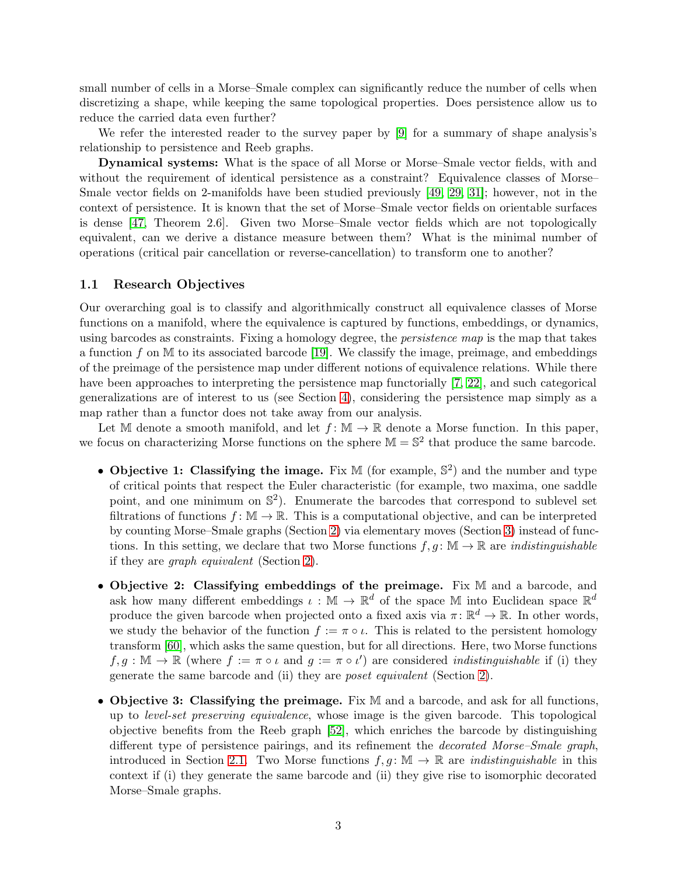small number of cells in a Morse–Smale complex can significantly reduce the number of cells when discretizing a shape, while keeping the same topological properties. Does persistence allow us to reduce the carried data even further?

We refer the interested reader to the survey paper by [\[9\]](#page-26-1) for a summary of shape analysis's relationship to persistence and Reeb graphs.

Dynamical systems: What is the space of all Morse or Morse–Smale vector fields, with and without the requirement of identical persistence as a constraint? Equivalence classes of Morse– Smale vector fields on 2-manifolds have been studied previously [\[49,](#page-28-3) [29,](#page-27-5) [31\]](#page-27-6); however, not in the context of persistence. It is known that the set of Morse–Smale vector fields on orientable surfaces is dense [\[47,](#page-28-4) Theorem 2.6]. Given two Morse–Smale vector fields which are not topologically equivalent, can we derive a distance measure between them? What is the minimal number of operations (critical pair cancellation or reverse-cancellation) to transform one to another?

#### 1.1 Research Objectives

Our overarching goal is to classify and algorithmically construct all equivalence classes of Morse functions on a manifold, where the equivalence is captured by functions, embeddings, or dynamics, using barcodes as constraints. Fixing a homology degree, the persistence map is the map that takes a function f on  $\mathbb M$  to its associated barcode [\[19\]](#page-26-2). We classify the image, preimage, and embeddings of the preimage of the persistence map under different notions of equivalence relations. While there have been approaches to interpreting the persistence map functorially [\[7,](#page-26-3) [22\]](#page-26-4), and such categorical generalizations are of interest to us (see Section [4\)](#page-13-0), considering the persistence map simply as a map rather than a functor does not take away from our analysis.

Let M denote a smooth manifold, and let  $f: \mathbb{M} \to \mathbb{R}$  denote a Morse function. In this paper, we focus on characterizing Morse functions on the sphere  $\mathbb{M} = \mathbb{S}^2$  that produce the same barcode.

- Objective 1: Classifying the image. Fix  $M$  (for example,  $\mathbb{S}^2$ ) and the number and type of critical points that respect the Euler characteristic (for example, two maxima, one saddle point, and one minimum on  $\mathbb{S}^2$ ). Enumerate the barcodes that correspond to sublevel set filtrations of functions  $f: \mathbb{M} \to \mathbb{R}$ . This is a computational objective, and can be interpreted by counting Morse–Smale graphs (Section [2\)](#page-4-0) via elementary moves (Section [3\)](#page-9-0) instead of functions. In this setting, we declare that two Morse functions  $f, g \colon \mathbb{M} \to \mathbb{R}$  are *indistinguishable* if they are graph equivalent (Section [2\)](#page-4-0).
- Objective 2: Classifying embeddings of the preimage. Fix M and a barcode, and ask how many different embeddings  $\iota : \mathbb{M} \to \mathbb{R}^d$  of the space  $\mathbb{M}$  into Euclidean space  $\mathbb{R}^d$ produce the given barcode when projected onto a fixed axis via  $\pi \colon \mathbb{R}^d \to \mathbb{R}$ . In other words, we study the behavior of the function  $f := \pi \circ \iota$ . This is related to the persistent homology transform [\[60\]](#page-29-0), which asks the same question, but for all directions. Here, two Morse functions  $f, g : \mathbb{M} \to \mathbb{R}$  (where  $f := \pi \circ \iota$  and  $g := \pi \circ \iota'$ ) are considered *indistinguishable* if (i) they generate the same barcode and (ii) they are poset equivalent (Section [2\)](#page-4-0).
- Objective 3: Classifying the preimage. Fix M and a barcode, and ask for all functions, up to level-set preserving equivalence, whose image is the given barcode. This topological objective benefits from the Reeb graph [\[52\]](#page-28-2), which enriches the barcode by distinguishing different type of persistence pairings, and its refinement the decorated Morse–Smale graph, introduced in Section [2.1.](#page-4-1) Two Morse functions  $f, g : \mathbb{M} \to \mathbb{R}$  are *indistinguishable* in this context if (i) they generate the same barcode and (ii) they give rise to isomorphic decorated Morse–Smale graphs.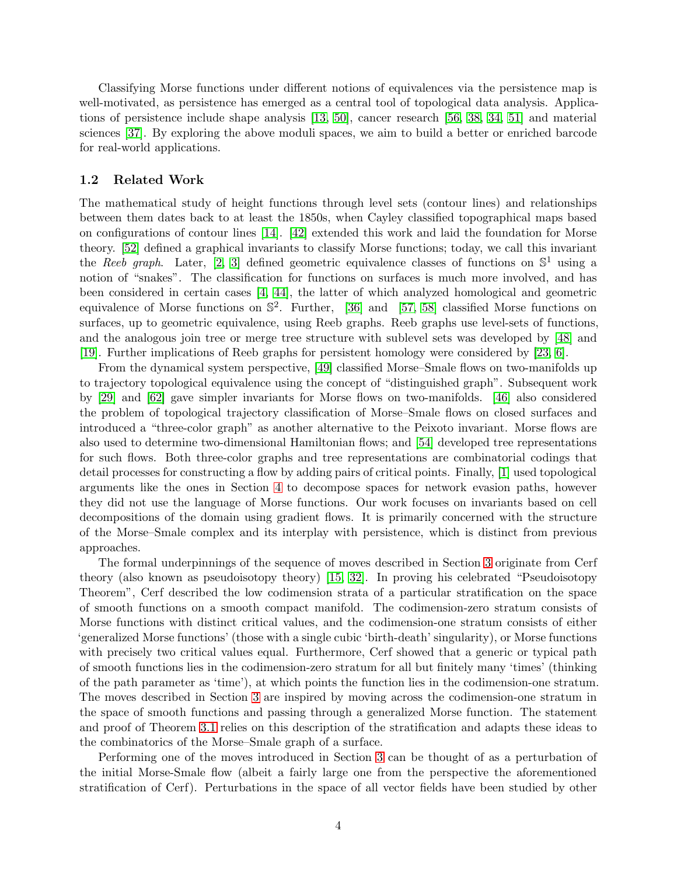Classifying Morse functions under different notions of equivalences via the persistence map is well-motivated, as persistence has emerged as a central tool of topological data analysis. Applications of persistence include shape analysis [\[13,](#page-26-5) [50\]](#page-28-5), cancer research [\[56,](#page-28-6) [38,](#page-27-7) [34,](#page-27-8) [51\]](#page-28-7) and material sciences [\[37\]](#page-27-9). By exploring the above moduli spaces, we aim to build a better or enriched barcode for real-world applications.

#### 1.2 Related Work

The mathematical study of height functions through level sets (contour lines) and relationships between them dates back to at least the 1850s, when Cayley classified topographical maps based on configurations of contour lines [\[14\]](#page-26-6). [\[42\]](#page-28-8) extended this work and laid the foundation for Morse theory. [\[52\]](#page-28-2) defined a graphical invariants to classify Morse functions; today, we call this invariant the Reeb graph. Later, [\[2,](#page-25-0) [3\]](#page-25-1) defined geometric equivalence classes of functions on  $\mathbb{S}^1$  using a notion of "snakes". The classification for functions on surfaces is much more involved, and has been considered in certain cases [\[4,](#page-25-2) [44\]](#page-28-1), the latter of which analyzed homological and geometric equivalence of Morse functions on S 2 . Further, [\[36\]](#page-27-10) and [\[57,](#page-28-9) [58\]](#page-28-10) classified Morse functions on surfaces, up to geometric equivalence, using Reeb graphs. Reeb graphs use level-sets of functions, and the analogous join tree or merge tree structure with sublevel sets was developed by [\[48\]](#page-28-11) and [\[19\]](#page-26-2). Further implications of Reeb graphs for persistent homology were considered by [\[23,](#page-26-7) [6\]](#page-25-3).

From the dynamical system perspective, [\[49\]](#page-28-3) classified Morse–Smale flows on two-manifolds up to trajectory topological equivalence using the concept of "distinguished graph". Subsequent work by [\[29\]](#page-27-5) and [\[62\]](#page-29-1) gave simpler invariants for Morse flows on two-manifolds. [\[46\]](#page-28-12) also considered the problem of topological trajectory classification of Morse–Smale flows on closed surfaces and introduced a "three-color graph" as another alternative to the Peixoto invariant. Morse flows are also used to determine two-dimensional Hamiltonian flows; and [\[54\]](#page-28-13) developed tree representations for such flows. Both three-color graphs and tree representations are combinatorial codings that detail processes for constructing a flow by adding pairs of critical points. Finally, [\[1\]](#page-25-4) used topological arguments like the ones in Section [4](#page-13-0) to decompose spaces for network evasion paths, however they did not use the language of Morse functions. Our work focuses on invariants based on cell decompositions of the domain using gradient flows. It is primarily concerned with the structure of the Morse–Smale complex and its interplay with persistence, which is distinct from previous approaches.

The formal underpinnings of the sequence of moves described in Section [3](#page-9-0) originate from Cerf theory (also known as pseudoisotopy theory) [\[15,](#page-26-8) [32\]](#page-27-11). In proving his celebrated "Pseudoisotopy Theorem", Cerf described the low codimension strata of a particular stratification on the space of smooth functions on a smooth compact manifold. The codimension-zero stratum consists of Morse functions with distinct critical values, and the codimension-one stratum consists of either 'generalized Morse functions' (those with a single cubic 'birth-death' singularity), or Morse functions with precisely two critical values equal. Furthermore, Cerf showed that a generic or typical path of smooth functions lies in the codimension-zero stratum for all but finitely many 'times' (thinking of the path parameter as 'time'), at which points the function lies in the codimension-one stratum. The moves described in Section [3](#page-9-0) are inspired by moving across the codimension-one stratum in the space of smooth functions and passing through a generalized Morse function. The statement and proof of Theorem [3.1](#page-11-0) relies on this description of the stratification and adapts these ideas to the combinatorics of the Morse–Smale graph of a surface.

Performing one of the moves introduced in Section [3](#page-9-0) can be thought of as a perturbation of the initial Morse-Smale flow (albeit a fairly large one from the perspective the aforementioned stratification of Cerf). Perturbations in the space of all vector fields have been studied by other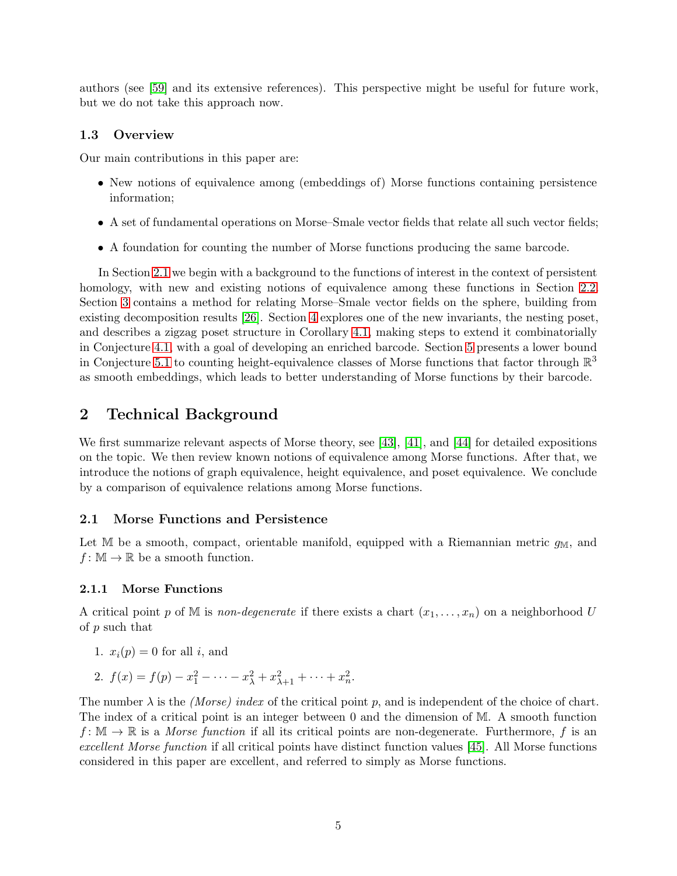authors (see [\[59\]](#page-29-2) and its extensive references). This perspective might be useful for future work, but we do not take this approach now.

### 1.3 Overview

Our main contributions in this paper are:

- New notions of equivalence among (embeddings of) Morse functions containing persistence information;
- A set of fundamental operations on Morse–Smale vector fields that relate all such vector fields;
- A foundation for counting the number of Morse functions producing the same barcode.

In Section [2.1](#page-4-1) we begin with a background to the functions of interest in the context of persistent homology, with new and existing notions of equivalence among these functions in Section [2.2.](#page-6-0) Section [3](#page-9-0) contains a method for relating Morse–Smale vector fields on the sphere, building from existing decomposition results [\[26\]](#page-27-4). Section [4](#page-13-0) explores one of the new invariants, the nesting poset, and describes a zigzag poset structure in Corollary [4.1,](#page-20-0) making steps to extend it combinatorially in Conjecture [4.1,](#page-22-0) with a goal of developing an enriched barcode. Section [5](#page-22-1) presents a lower bound in Conjecture [5.1](#page-23-0) to counting height-equivalence classes of Morse functions that factor through  $\mathbb{R}^3$ as smooth embeddings, which leads to better understanding of Morse functions by their barcode.

## <span id="page-4-0"></span>2 Technical Background

We first summarize relevant aspects of Morse theory, see [\[43\]](#page-28-0), [\[41\]](#page-28-14), and [\[44\]](#page-28-1) for detailed expositions on the topic. We then review known notions of equivalence among Morse functions. After that, we introduce the notions of graph equivalence, height equivalence, and poset equivalence. We conclude by a comparison of equivalence relations among Morse functions.

### <span id="page-4-1"></span>2.1 Morse Functions and Persistence

Let M be a smooth, compact, orientable manifold, equipped with a Riemannian metric  $g_M$ , and  $f: \mathbb{M} \to \mathbb{R}$  be a smooth function.

#### 2.1.1 Morse Functions

A critical point p of M is non-degenerate if there exists a chart  $(x_1, \ldots, x_n)$  on a neighborhood U of p such that

- 1.  $x_i(p) = 0$  for all i, and
- 2.  $f(x) = f(p) x_1^2 \cdots x_\lambda^2 + x_{\lambda+1}^2 + \cdots + x_n^2$ .

The number  $\lambda$  is the *(Morse)* index of the critical point p, and is independent of the choice of chart. The index of a critical point is an integer between 0 and the dimension of M. A smooth function  $f: \mathbb{M} \to \mathbb{R}$  is a *Morse function* if all its critical points are non-degenerate. Furthermore, f is an excellent Morse function if all critical points have distinct function values [\[45\]](#page-28-15). All Morse functions considered in this paper are excellent, and referred to simply as Morse functions.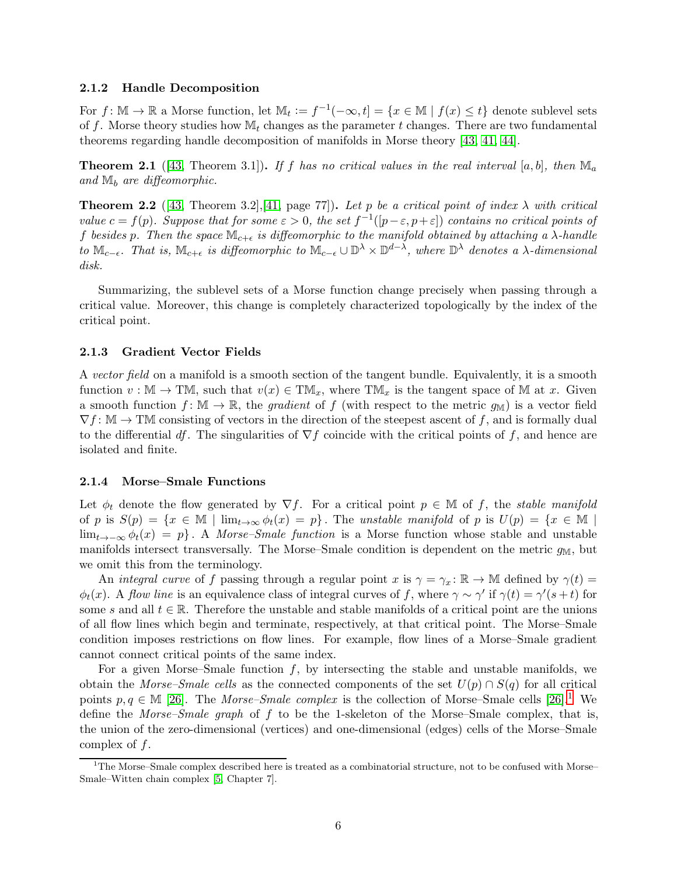#### 2.1.2 Handle Decomposition

For  $f: \mathbb{M} \to \mathbb{R}$  a Morse function, let  $\mathbb{M}_t := f^{-1}(-\infty, t] = \{x \in \mathbb{M} \mid f(x) \leq t\}$  denote sublevel sets of f. Morse theory studies how  $\mathbb{M}_t$  changes as the parameter t changes. There are two fundamental theorems regarding handle decomposition of manifolds in Morse theory [\[43,](#page-28-0) [41,](#page-28-14) [44\]](#page-28-1).

<span id="page-5-1"></span>**Theorem 2.1** ([\[43,](#page-28-0) Theorem 3.1]). If f has no critical values in the real interval [a, b], then  $\mathbb{M}_a$ and  $\mathbb{M}_b$  are diffeomorphic.

<span id="page-5-2"></span>**Theorem 2.2** ([\[43,](#page-28-0) Theorem 3.2],[\[41,](#page-28-14) page 77]). Let p be a critical point of index  $\lambda$  with critical value  $c = f(p)$ . Suppose that for some  $\varepsilon > 0$ , the set  $f^{-1}([p - \varepsilon, p + \varepsilon])$  contains no critical points of f besides p. Then the space  $\mathbb{M}_{c+\epsilon}$  is diffeomorphic to the manifold obtained by attaching a  $\lambda$ -handle to  $\mathbb{M}_{c-\epsilon}$ . That is,  $\mathbb{M}_{c+\epsilon}$  is diffeomorphic to  $\mathbb{M}_{c-\epsilon} \cup \mathbb{D}^{\lambda} \times \mathbb{D}^{d-\lambda}$ , where  $\mathbb{D}^{\lambda}$  denotes a  $\lambda$ -dimensional disk.

Summarizing, the sublevel sets of a Morse function change precisely when passing through a critical value. Moreover, this change is completely characterized topologically by the index of the critical point.

#### 2.1.3 Gradient Vector Fields

A vector field on a manifold is a smooth section of the tangent bundle. Equivalently, it is a smooth function  $v : \mathbb{M} \to \mathbb{TM}$ , such that  $v(x) \in \mathbb{TM}_x$ , where  $\mathbb{TM}_x$  is the tangent space of M at x. Given a smooth function  $f: \mathbb{M} \to \mathbb{R}$ , the gradient of f (with respect to the metric  $g_{\mathbb{M}}$ ) is a vector field  $\nabla f: \mathbb{M} \to \mathbb{M}$  consisting of vectors in the direction of the steepest ascent of f, and is formally dual to the differential df. The singularities of  $\nabla f$  coincide with the critical points of f, and hence are isolated and finite.

#### 2.1.4 Morse–Smale Functions

Let  $\phi_t$  denote the flow generated by  $\nabla f$ . For a critical point  $p \in \mathbb{M}$  of f, the stable manifold of p is  $S(p) = \{x \in \mathbb{M} \mid \lim_{t \to \infty} \phi_t(x) = p\}$ . The unstable manifold of p is  $U(p) = \{x \in \mathbb{M} \mid \lim_{t \to \infty} \phi_t(x) = p\}$ . lim<sub>t→−∞</sub>  $\phi_t(x) = p$ . A *Morse–Smale function* is a Morse function whose stable and unstable manifolds intersect transversally. The Morse–Smale condition is dependent on the metric  $g_M$ , but we omit this from the terminology.

An integral curve of f passing through a regular point x is  $\gamma = \gamma_x : \mathbb{R} \to \mathbb{M}$  defined by  $\gamma(t) =$  $\phi_t(x)$ . A flow line is an equivalence class of integral curves of f, where  $\gamma \sim \gamma'$  if  $\gamma(t) = \gamma'(s+t)$  for some s and all  $t \in \mathbb{R}$ . Therefore the unstable and stable manifolds of a critical point are the unions of all flow lines which begin and terminate, respectively, at that critical point. The Morse–Smale condition imposes restrictions on flow lines. For example, flow lines of a Morse–Smale gradient cannot connect critical points of the same index.

For a given Morse–Smale function  $f$ , by intersecting the stable and unstable manifolds, we obtain the Morse–Smale cells as the connected components of the set  $U(p) \cap S(q)$  for all critical points  $p, q \in \mathbb{M}$  [\[26\]](#page-27-4). The *Morse–Smale complex* is the collection of Morse–Smale cells [\[26\]](#page-27-4).<sup>[1](#page-5-0)</sup> We define the Morse–Smale graph of f to be the 1-skeleton of the Morse–Smale complex, that is, the union of the zero-dimensional (vertices) and one-dimensional (edges) cells of the Morse–Smale complex of f.

<span id="page-5-0"></span><sup>&</sup>lt;sup>1</sup>The Morse–Smale complex described here is treated as a combinatorial structure, not to be confused with Morse– Smale–Witten chain complex [\[5,](#page-25-5) Chapter 7].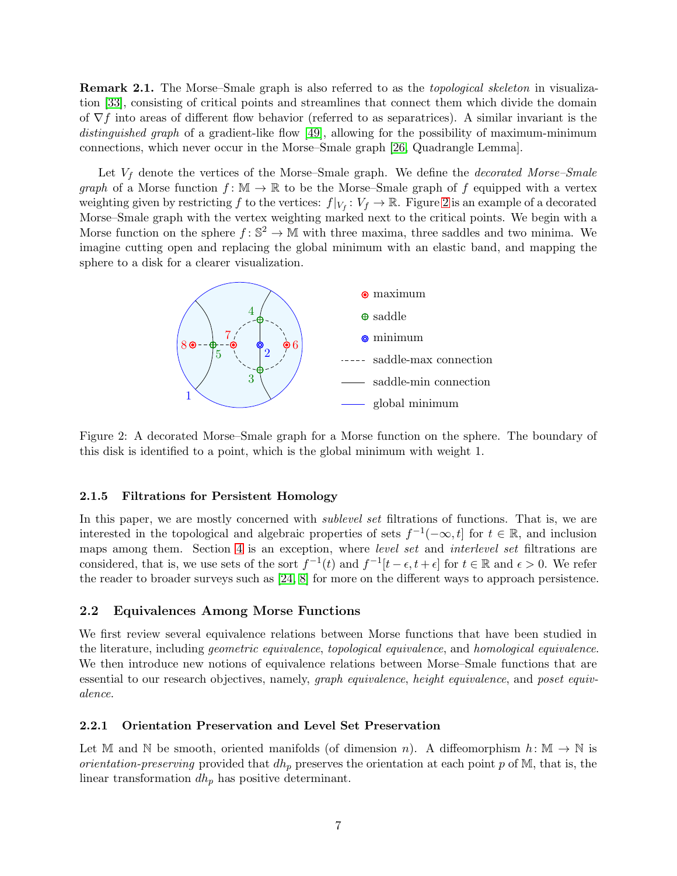**Remark 2.1.** The Morse–Smale graph is also referred to as the *topological skeleton* in visualization [\[33\]](#page-27-12), consisting of critical points and streamlines that connect them which divide the domain of  $\nabla f$  into areas of different flow behavior (referred to as separatrices). A similar invariant is the distinguished graph of a gradient-like flow [\[49\]](#page-28-3), allowing for the possibility of maximum-minimum connections, which never occur in the Morse–Smale graph [\[26,](#page-27-4) Quadrangle Lemma].

Let  $V_f$  denote the vertices of the Morse–Smale graph. We define the *decorated Morse–Smale* graph of a Morse function  $f: \mathbb{M} \to \mathbb{R}$  to be the Morse–Smale graph of f equipped with a vertex weighting given by restricting f to the vertices:  $f|_{V_f}: V_f \to \mathbb{R}$ . Figure [2](#page-6-1) is an example of a decorated Morse–Smale graph with the vertex weighting marked next to the critical points. We begin with a Morse function on the sphere  $f: \mathbb{S}^2 \to \mathbb{M}$  with three maxima, three saddles and two minima. We imagine cutting open and replacing the global minimum with an elastic band, and mapping the sphere to a disk for a clearer visualization.



<span id="page-6-1"></span>Figure 2: A decorated Morse–Smale graph for a Morse function on the sphere. The boundary of this disk is identified to a point, which is the global minimum with weight 1.

#### 2.1.5 Filtrations for Persistent Homology

In this paper, we are mostly concerned with *sublevel set* filtrations of functions. That is, we are interested in the topological and algebraic properties of sets  $f^{-1}(-\infty, t]$  for  $t \in \mathbb{R}$ , and inclusion maps among them. Section [4](#page-13-0) is an exception, where *level set* and *interlevel set* filtrations are considered, that is, we use sets of the sort  $f^{-1}(t)$  and  $f^{-1}[t-\epsilon, t+\epsilon]$  for  $t \in \mathbb{R}$  and  $\epsilon > 0$ . We refer the reader to broader surveys such as [\[24,](#page-27-0) [8\]](#page-26-9) for more on the different ways to approach persistence.

### <span id="page-6-0"></span>2.2 Equivalences Among Morse Functions

We first review several equivalence relations between Morse functions that have been studied in the literature, including geometric equivalence, topological equivalence, and homological equivalence. We then introduce new notions of equivalence relations between Morse–Smale functions that are essential to our research objectives, namely, *graph equivalence*, *height equivalence*, and *poset equiv*alence.

#### 2.2.1 Orientation Preservation and Level Set Preservation

Let M and N be smooth, oriented manifolds (of dimension n). A diffeomorphism  $h: \mathbb{M} \to \mathbb{N}$  is *orientation-preserving* provided that  $dh_p$  preserves the orientation at each point p of M, that is, the linear transformation  $dh_p$  has positive determinant.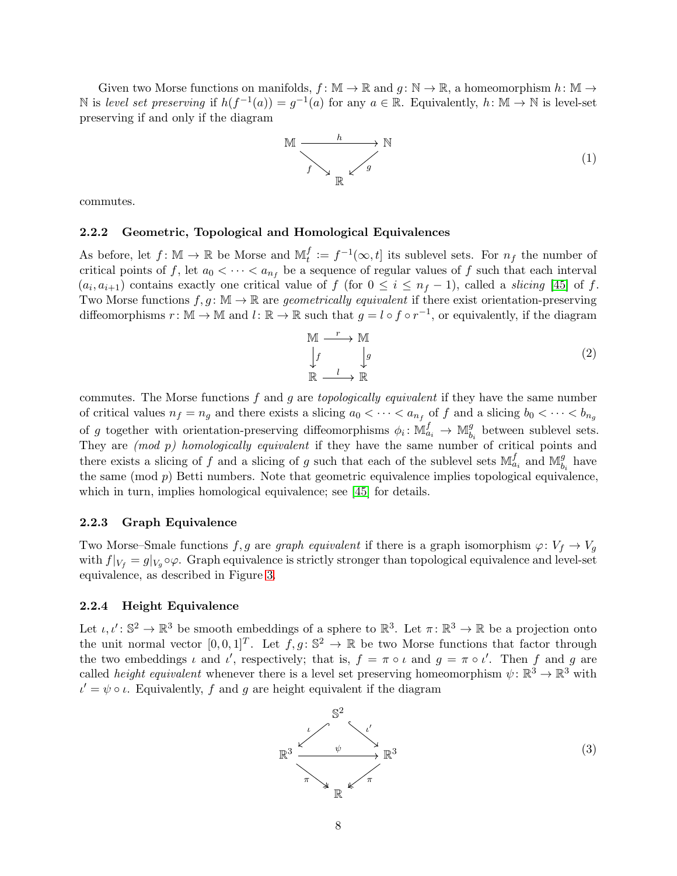Given two Morse functions on manifolds,  $f: \mathbb{M} \to \mathbb{R}$  and  $g: \mathbb{N} \to \mathbb{R}$ , a homeomorphism  $h: \mathbb{M} \to$ N is level set preserving if  $h(f^{-1}(a)) = g^{-1}(a)$  for any  $a \in \mathbb{R}$ . Equivalently,  $h: \mathbb{M} \to \mathbb{N}$  is level-set preserving if and only if the diagram

$$
\mathbb{M} \xrightarrow{\quad h \quad \longrightarrow \quad \mathbb{N}} \mathbb{N}
$$
\n
$$
f \searrow \qquad \qquad \downarrow g \tag{1}
$$

commutes.

### 2.2.2 Geometric, Topological and Homological Equivalences

As before, let  $f: \mathbb{M} \to \mathbb{R}$  be Morse and  $\mathbb{M}_t^f$  $t_i^t := f^{-1}(\infty, t]$  its sublevel sets. For  $n_f$  the number of critical points of f, let  $a_0 < \cdots < a_{n_f}$  be a sequence of regular values of f such that each interval  $(a_i, a_{i+1})$  contains exactly one critical value of f (for  $0 \leq i \leq n_f - 1$ ), called a *slicing* [\[45\]](#page-28-15) of f. Two Morse functions  $f, g \colon \mathbb{M} \to \mathbb{R}$  are *geometrically equivalent* if there exist orientation-preserving diffeomorphisms  $r: \mathbb{M} \to \mathbb{M}$  and  $l: \mathbb{R} \to \mathbb{R}$  such that  $g = l \circ f \circ r^{-1}$ , or equivalently, if the diagram

<span id="page-7-0"></span>
$$
\begin{array}{ccc}\nM & \xrightarrow{r} & M \\
\downarrow f & \downarrow g & \\
\mathbb{R} & \xrightarrow{l} & \mathbb{R}\n\end{array} \tag{2}
$$

commutes. The Morse functions f and g are topologically equivalent if they have the same number of critical values  $n_f = n_g$  and there exists a slicing  $a_0 < \cdots < a_{n_f}$  of f and a slicing  $b_0 < \cdots < b_{n_g}$ of g together with orientation-preserving diffeomorphisms  $\phi_i: \mathbb{M}_{a_i}^f \to \mathbb{M}_{b}^g$  $b_i$  between sublevel sets. They are *(mod p)* homologically equivalent if they have the same number of critical points and there exists a slicing of f and a slicing of g such that each of the sublevel sets  $\mathbb{M}_{a_i}^f$  and  $\mathbb{M}_{b}^g$  $\frac{g}{b_i}$  have the same (mod  $p$ ) Betti numbers. Note that geometric equivalence implies topological equivalence, which in turn, implies homological equivalence; see [\[45\]](#page-28-15) for details.

### 2.2.3 Graph Equivalence

Two Morse–Smale functions f, g are graph equivalent if there is a graph isomorphism  $\varphi: V_f \to V_g$ with  $f|_{V_f} = g|_{V_g} \circ \varphi$ . Graph equivalence is strictly stronger than topological equivalence and level-set equivalence, as described in Figure [3.](#page-8-0)

### 2.2.4 Height Equivalence

Let  $\iota, \iota' : \mathbb{S}^2 \to \mathbb{R}^3$  be smooth embeddings of a sphere to  $\mathbb{R}^3$ . Let  $\pi : \mathbb{R}^3 \to \mathbb{R}$  be a projection onto the unit normal vector  $[0,0,1]^T$ . Let  $f,g: \mathbb{S}^2 \to \mathbb{R}$  be two Morse functions that factor through the two embeddings  $\iota$  and  $\iota'$ , respectively; that is,  $f = \pi \circ \iota$  and  $g = \pi \circ \iota'$ . Then f and g are called *height equivalent* whenever there is a level set preserving homeomorphism  $\psi \colon \mathbb{R}^3 \to \mathbb{R}^3$  with  $\iota' = \psi \circ \iota$ . Equivalently, f and g are height equivalent if the diagram

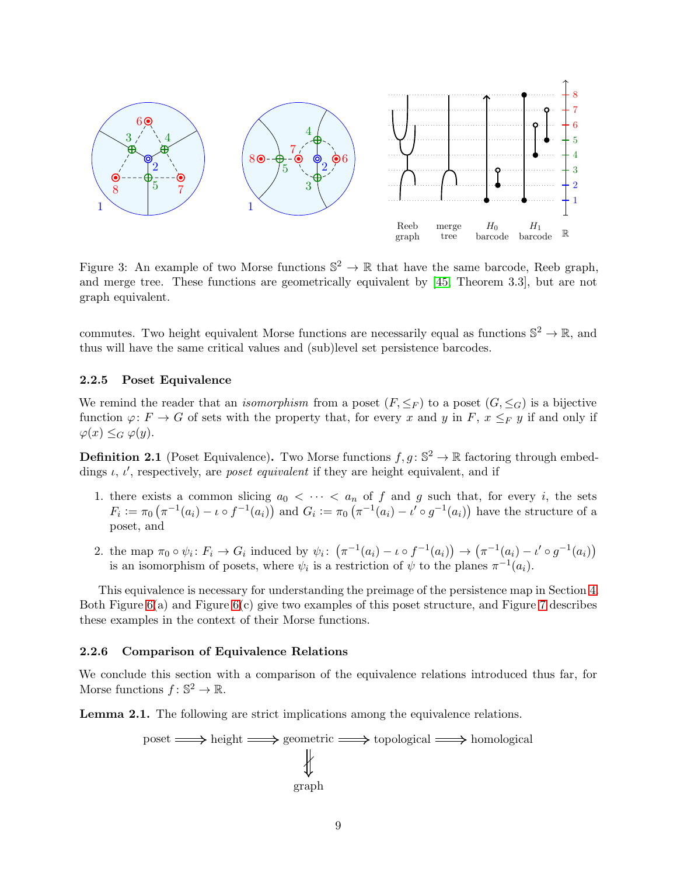

<span id="page-8-0"></span>Figure 3: An example of two Morse functions  $\mathbb{S}^2 \to \mathbb{R}$  that have the same barcode, Reeb graph, and merge tree. These functions are geometrically equivalent by [\[45,](#page-28-15) Theorem 3.3], but are not graph equivalent.

commutes. Two height equivalent Morse functions are necessarily equal as functions  $\mathbb{S}^2 \to \mathbb{R}$ , and thus will have the same critical values and (sub)level set persistence barcodes.

### 2.2.5 Poset Equivalence

We remind the reader that an *isomorphism* from a poset  $(F, \leq_F)$  to a poset  $(G, \leq_G)$  is a bijective function  $\varphi: F \to G$  of sets with the property that, for every x and y in F,  $x \leq_F y$  if and only if  $\varphi(x) \leq_G \varphi(y).$ 

<span id="page-8-1"></span>**Definition 2.1** (Poset Equivalence). Two Morse functions  $f, g: \mathbb{S}^2 \to \mathbb{R}$  factoring through embeddings  $\iota$ ,  $\iota'$ , respectively, are *poset equivalent* if they are height equivalent, and if

- 1. there exists a common slicing  $a_0 < \cdots < a_n$  of f and g such that, for every i, the sets  $F_i := \pi_0 \left( \pi^{-1}(a_i) - \iota \circ f^{-1}(a_i) \right)$  and  $G_i := \pi_0 \left( \pi^{-1}(a_i) - \iota' \circ g^{-1}(a_i) \right)$  have the structure of a poset, and
- 2. the map  $\pi_0 \circ \psi_i : F_i \to G_i$  induced by  $\psi_i : (\pi^{-1}(a_i) \iota \circ f^{-1}(a_i)) \to (\pi^{-1}(a_i) \iota' \circ g^{-1}(a_i))$ is an isomorphism of posets, where  $\psi_i$  is a restriction of  $\psi$  to the planes  $\pi^{-1}(a_i)$ .

This equivalence is necessary for understanding the preimage of the persistence map in Section [4.](#page-13-0) Both Figure [6\(](#page-14-0)a) and Figure [6\(](#page-14-0)c) give two examples of this poset structure, and Figure [7](#page-15-0) describes these examples in the context of their Morse functions.

### 2.2.6 Comparison of Equivalence Relations

We conclude this section with a comparison of the equivalence relations introduced thus far, for Morse functions  $f: \mathbb{S}^2 \to \mathbb{R}$ .

Lemma 2.1. The following are strict implications among the equivalence relations.

$$
poset \longrightarrow height \longrightarrow geometric \longrightarrow topological \longrightarrow homological
$$
\n
$$
\downarrow \qquad \qquad \downarrow
$$
\n
$$
graph
$$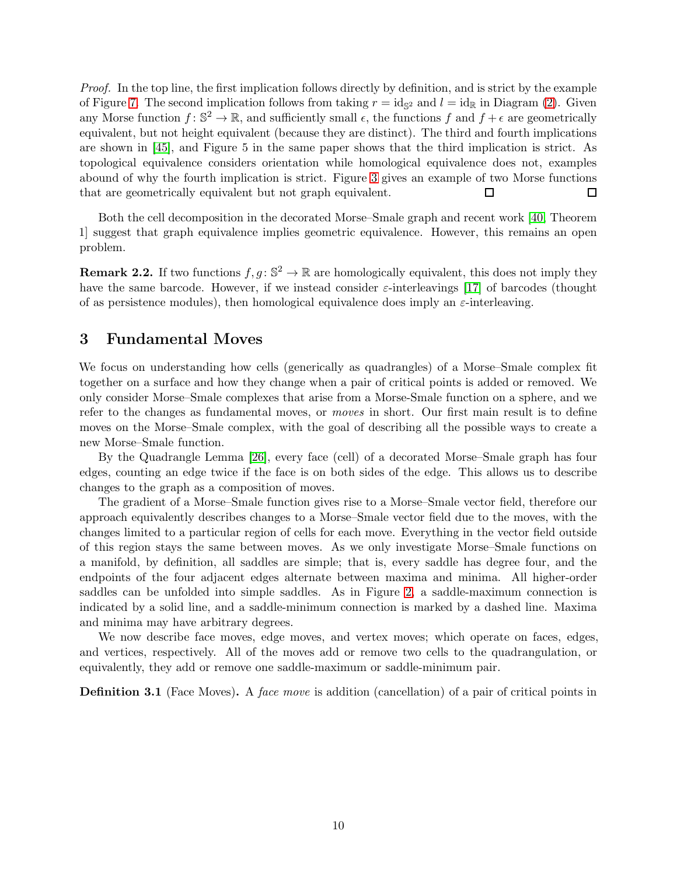Proof. In the top line, the first implication follows directly by definition, and is strict by the example of Figure [7.](#page-15-0) The second implication follows from taking  $r = id_{\mathbb{S}^2}$  and  $l = id_{\mathbb{R}}$  in Diagram [\(2\)](#page-7-0). Given any Morse function  $f: \mathbb{S}^2 \to \mathbb{R}$ , and sufficiently small  $\epsilon$ , the functions f and  $f + \epsilon$  are geometrically equivalent, but not height equivalent (because they are distinct). The third and fourth implications are shown in [\[45\]](#page-28-15), and Figure 5 in the same paper shows that the third implication is strict. As topological equivalence considers orientation while homological equivalence does not, examples abound of why the fourth implication is strict. Figure [3](#page-8-0) gives an example of two Morse functions that are geometrically equivalent but not graph equivalent.  $\Box$  $\Box$ 

Both the cell decomposition in the decorated Morse–Smale graph and recent work [\[40,](#page-28-16) Theorem 1] suggest that graph equivalence implies geometric equivalence. However, this remains an open problem.

**Remark 2.2.** If two functions  $f, g: \mathbb{S}^2 \to \mathbb{R}$  are homologically equivalent, this does not imply they have the same barcode. However, if we instead consider  $\varepsilon$ -interleavings [\[17\]](#page-26-10) of barcodes (thought of as persistence modules), then homological equivalence does imply an  $\varepsilon$ -interleaving.

## <span id="page-9-0"></span>3 Fundamental Moves

We focus on understanding how cells (generically as quadrangles) of a Morse–Smale complex fit together on a surface and how they change when a pair of critical points is added or removed. We only consider Morse–Smale complexes that arise from a Morse-Smale function on a sphere, and we refer to the changes as fundamental moves, or moves in short. Our first main result is to define moves on the Morse–Smale complex, with the goal of describing all the possible ways to create a new Morse–Smale function.

By the Quadrangle Lemma [\[26\]](#page-27-4), every face (cell) of a decorated Morse–Smale graph has four edges, counting an edge twice if the face is on both sides of the edge. This allows us to describe changes to the graph as a composition of moves.

The gradient of a Morse–Smale function gives rise to a Morse–Smale vector field, therefore our approach equivalently describes changes to a Morse–Smale vector field due to the moves, with the changes limited to a particular region of cells for each move. Everything in the vector field outside of this region stays the same between moves. As we only investigate Morse–Smale functions on a manifold, by definition, all saddles are simple; that is, every saddle has degree four, and the endpoints of the four adjacent edges alternate between maxima and minima. All higher-order saddles can be unfolded into simple saddles. As in Figure [2,](#page-6-1) a saddle-maximum connection is indicated by a solid line, and a saddle-minimum connection is marked by a dashed line. Maxima and minima may have arbitrary degrees.

We now describe face moves, edge moves, and vertex moves; which operate on faces, edges, and vertices, respectively. All of the moves add or remove two cells to the quadrangulation, or equivalently, they add or remove one saddle-maximum or saddle-minimum pair.

<span id="page-9-1"></span>**Definition 3.1** (Face Moves). A face move is addition (cancellation) of a pair of critical points in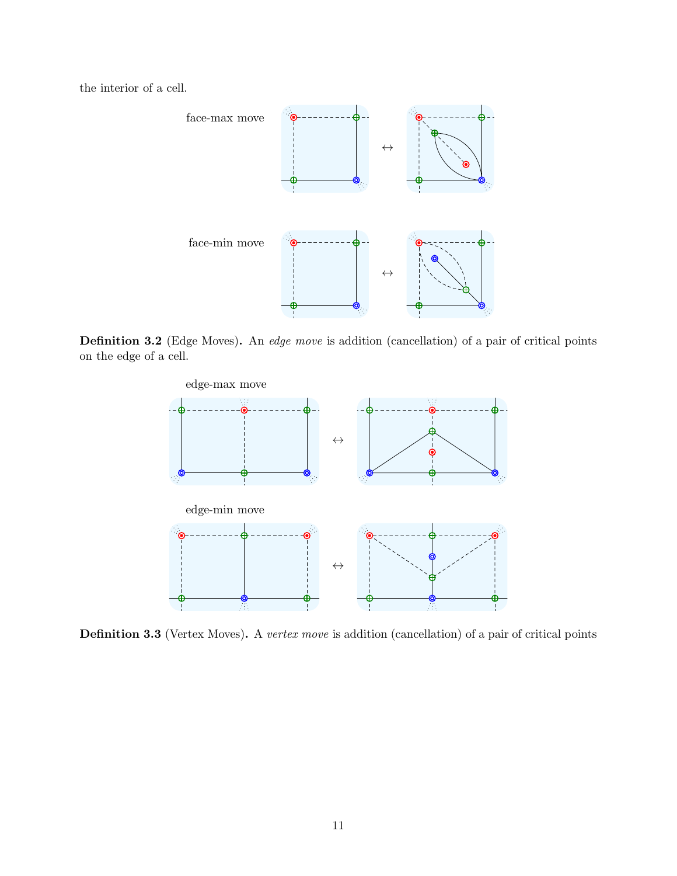the interior of a cell.



Definition 3.2 (Edge Moves). An edge move is addition (cancellation) of a pair of critical points on the edge of a cell.



<span id="page-10-0"></span>Definition 3.3 (Vertex Moves). A vertex move is addition (cancellation) of a pair of critical points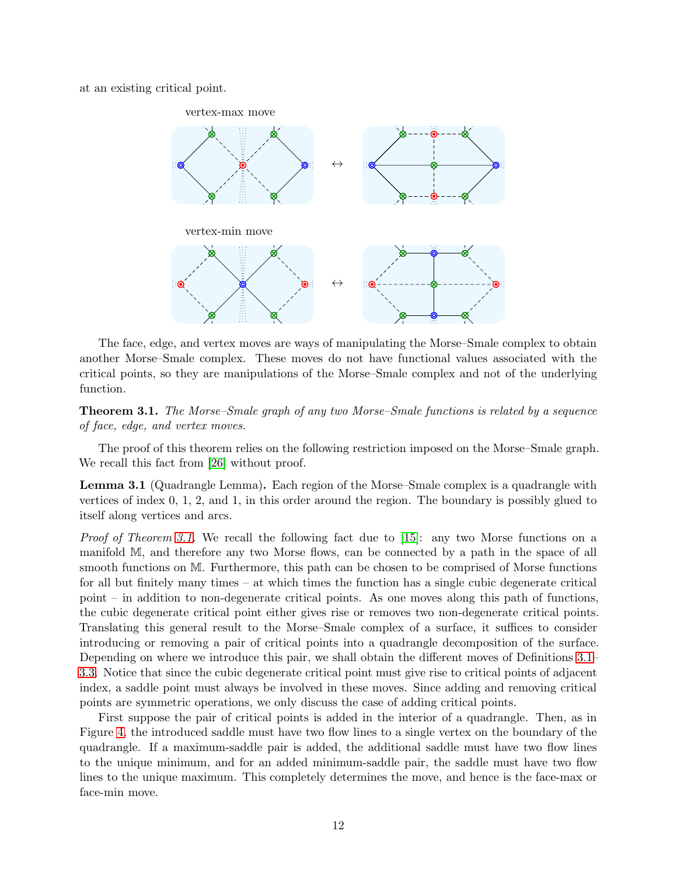at an existing critical point.



The face, edge, and vertex moves are ways of manipulating the Morse–Smale complex to obtain another Morse–Smale complex. These moves do not have functional values associated with the critical points, so they are manipulations of the Morse–Smale complex and not of the underlying function.

<span id="page-11-0"></span>**Theorem 3.1.** The Morse–Smale graph of any two Morse–Smale functions is related by a sequence of face, edge, and vertex moves.

The proof of this theorem relies on the following restriction imposed on the Morse–Smale graph. We recall this fact from [\[26\]](#page-27-4) without proof.

Lemma 3.1 (Quadrangle Lemma). Each region of the Morse–Smale complex is a quadrangle with vertices of index 0, 1, 2, and 1, in this order around the region. The boundary is possibly glued to itself along vertices and arcs.

*Proof of Theorem [3.1.](#page-11-0)* We recall the following fact due to [\[15\]](#page-26-8): any two Morse functions on a manifold M, and therefore any two Morse flows, can be connected by a path in the space of all smooth functions on M. Furthermore, this path can be chosen to be comprised of Morse functions for all but finitely many times – at which times the function has a single cubic degenerate critical point – in addition to non-degenerate critical points. As one moves along this path of functions, the cubic degenerate critical point either gives rise or removes two non-degenerate critical points. Translating this general result to the Morse–Smale complex of a surface, it suffices to consider introducing or removing a pair of critical points into a quadrangle decomposition of the surface. Depending on where we introduce this pair, we shall obtain the different moves of Definitions [3.1–](#page-9-1) [3.3.](#page-10-0) Notice that since the cubic degenerate critical point must give rise to critical points of adjacent index, a saddle point must always be involved in these moves. Since adding and removing critical points are symmetric operations, we only discuss the case of adding critical points.

First suppose the pair of critical points is added in the interior of a quadrangle. Then, as in Figure [4,](#page-12-0) the introduced saddle must have two flow lines to a single vertex on the boundary of the quadrangle. If a maximum-saddle pair is added, the additional saddle must have two flow lines to the unique minimum, and for an added minimum-saddle pair, the saddle must have two flow lines to the unique maximum. This completely determines the move, and hence is the face-max or face-min move.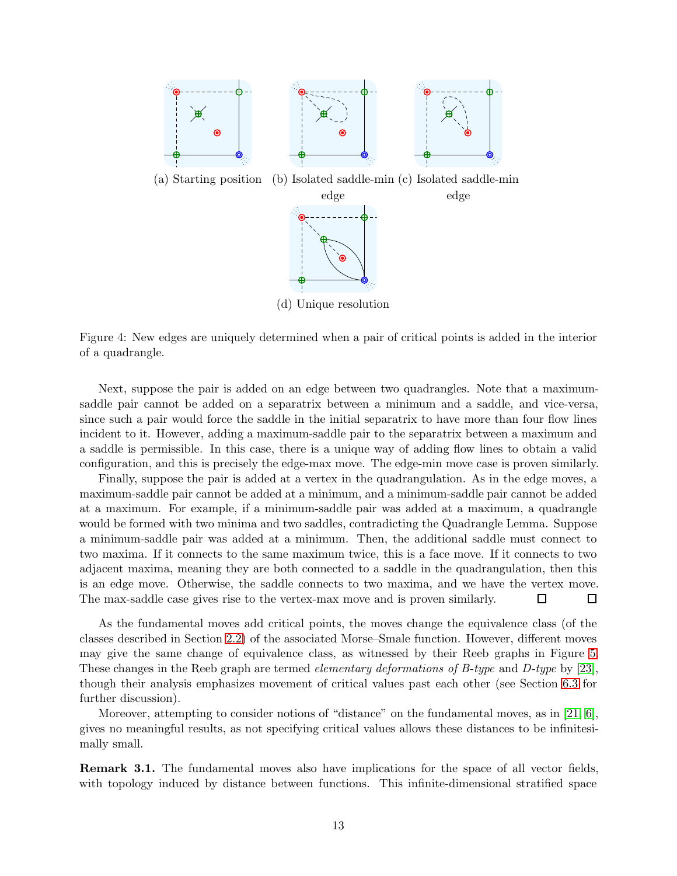

<span id="page-12-0"></span>Figure 4: New edges are uniquely determined when a pair of critical points is added in the interior of a quadrangle.

Next, suppose the pair is added on an edge between two quadrangles. Note that a maximumsaddle pair cannot be added on a separatrix between a minimum and a saddle, and vice-versa, since such a pair would force the saddle in the initial separatrix to have more than four flow lines incident to it. However, adding a maximum-saddle pair to the separatrix between a maximum and a saddle is permissible. In this case, there is a unique way of adding flow lines to obtain a valid configuration, and this is precisely the edge-max move. The edge-min move case is proven similarly.

Finally, suppose the pair is added at a vertex in the quadrangulation. As in the edge moves, a maximum-saddle pair cannot be added at a minimum, and a minimum-saddle pair cannot be added at a maximum. For example, if a minimum-saddle pair was added at a maximum, a quadrangle would be formed with two minima and two saddles, contradicting the Quadrangle Lemma. Suppose a minimum-saddle pair was added at a minimum. Then, the additional saddle must connect to two maxima. If it connects to the same maximum twice, this is a face move. If it connects to two adjacent maxima, meaning they are both connected to a saddle in the quadrangulation, then this is an edge move. Otherwise, the saddle connects to two maxima, and we have the vertex move. The max-saddle case gives rise to the vertex-max move and is proven similarly.  $\Box$ □

As the fundamental moves add critical points, the moves change the equivalence class (of the classes described in Section [2.2\)](#page-6-0) of the associated Morse–Smale function. However, different moves may give the same change of equivalence class, as witnessed by their Reeb graphs in Figure [5.](#page-13-1) These changes in the Reeb graph are termed *elementary deformations of B-type* and *D-type* by [\[23\]](#page-26-7), though their analysis emphasizes movement of critical values past each other (see Section [6.3](#page-24-0) for further discussion).

Moreover, attempting to consider notions of "distance" on the fundamental moves, as in [\[21,](#page-26-11) [6\]](#page-25-3), gives no meaningful results, as not specifying critical values allows these distances to be infinitesimally small.

Remark 3.1. The fundamental moves also have implications for the space of all vector fields, with topology induced by distance between functions. This infinite-dimensional stratified space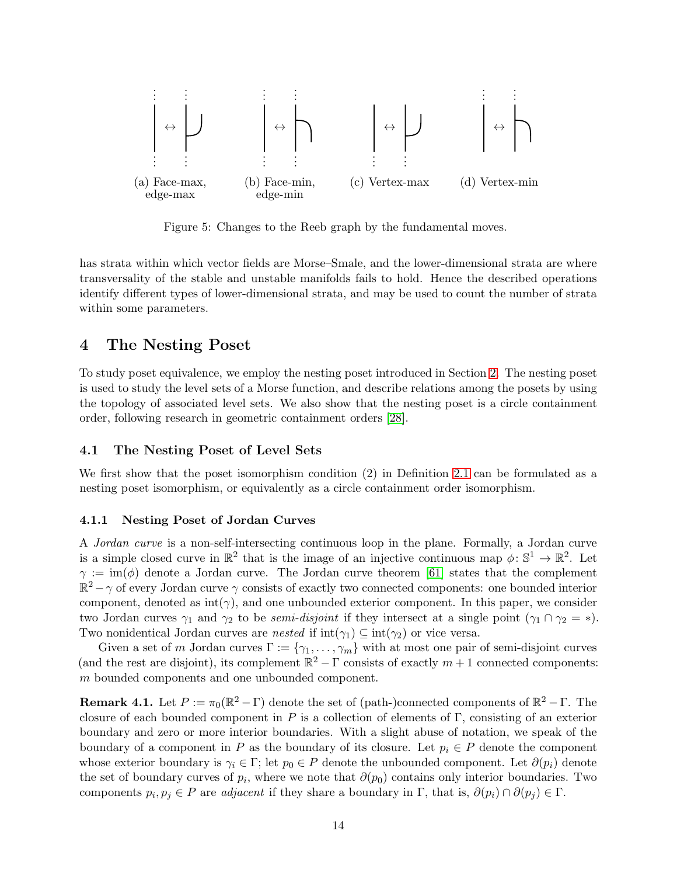

<span id="page-13-1"></span>Figure 5: Changes to the Reeb graph by the fundamental moves.

has strata within which vector fields are Morse–Smale, and the lower-dimensional strata are where transversality of the stable and unstable manifolds fails to hold. Hence the described operations identify different types of lower-dimensional strata, and may be used to count the number of strata within some parameters.

## <span id="page-13-0"></span>4 The Nesting Poset

To study poset equivalence, we employ the nesting poset introduced in Section [2.](#page-4-0) The nesting poset is used to study the level sets of a Morse function, and describe relations among the posets by using the topology of associated level sets. We also show that the nesting poset is a circle containment order, following research in geometric containment orders [\[28\]](#page-27-13).

### 4.1 The Nesting Poset of Level Sets

We first show that the poset isomorphism condition (2) in Definition [2.1](#page-8-1) can be formulated as a nesting poset isomorphism, or equivalently as a circle containment order isomorphism.

#### 4.1.1 Nesting Poset of Jordan Curves

A Jordan curve is a non-self-intersecting continuous loop in the plane. Formally, a Jordan curve is a simple closed curve in  $\mathbb{R}^2$  that is the image of an injective continuous map  $\phi \colon \mathbb{S}^1 \to \mathbb{R}^2$ . Let  $\gamma := \text{im}(\phi)$  denote a Jordan curve. The Jordan curve theorem [\[61\]](#page-29-3) states that the complement  $\mathbb{R}^2 - \gamma$  of every Jordan curve  $\gamma$  consists of exactly two connected components: one bounded interior component, denoted as  $int(\gamma)$ , and one unbounded exterior component. In this paper, we consider two Jordan curves  $\gamma_1$  and  $\gamma_2$  to be *semi-disjoint* if they intersect at a single point  $(\gamma_1 \cap \gamma_2 = *)$ . Two nonidentical Jordan curves are *nested* if  $int(\gamma_1) \subseteq int(\gamma_2)$  or vice versa.

Given a set of m Jordan curves  $\Gamma := \{\gamma_1, \ldots, \gamma_m\}$  with at most one pair of semi-disjoint curves (and the rest are disjoint), its complement  $\mathbb{R}^2 - \Gamma$  consists of exactly  $m + 1$  connected components: m bounded components and one unbounded component.

**Remark 4.1.** Let  $P := \pi_0(\mathbb{R}^2 - \Gamma)$  denote the set of (path-)connected components of  $\mathbb{R}^2 - \Gamma$ . The closure of each bounded component in  $P$  is a collection of elements of  $\Gamma$ , consisting of an exterior boundary and zero or more interior boundaries. With a slight abuse of notation, we speak of the boundary of a component in P as the boundary of its closure. Let  $p_i \in P$  denote the component whose exterior boundary is  $\gamma_i \in \Gamma$ ; let  $p_0 \in P$  denote the unbounded component. Let  $\partial(p_i)$  denote the set of boundary curves of  $p_i$ , where we note that  $\partial(p_0)$  contains only interior boundaries. Two components  $p_i, p_j \in P$  are *adjacent* if they share a boundary in  $\Gamma$ , that is,  $\partial(p_i) \cap \partial(p_j) \in \Gamma$ .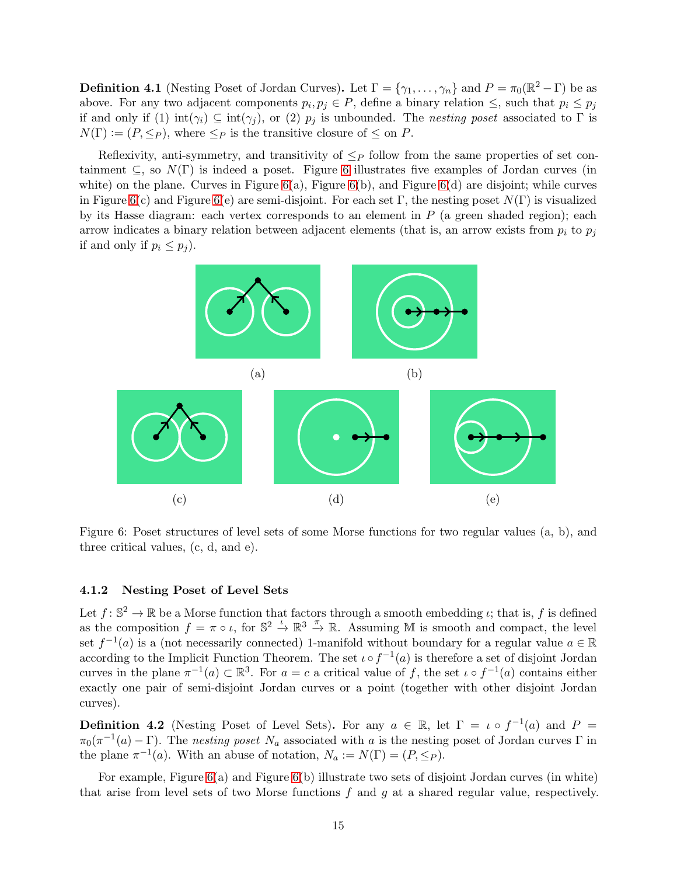**Definition 4.1** (Nesting Poset of Jordan Curves). Let  $\Gamma = \{\gamma_1, \ldots, \gamma_n\}$  and  $P = \pi_0(\mathbb{R}^2 - \Gamma)$  be as above. For any two adjacent components  $p_i, p_j \in P$ , define a binary relation  $\leq$ , such that  $p_i \leq p_j$ if and only if (1)  $\text{int}(\gamma_i) \subseteq \text{int}(\gamma_j)$ , or (2)  $p_j$  is unbounded. The *nesting poset* associated to  $\Gamma$  is  $N(\Gamma) := (P, \leq_P)$ , where  $\leq_P$  is the transitive closure of  $\leq$  on P.

Reflexivity, anti-symmetry, and transitivity of  $\leq_P$  follow from the same properties of set containment  $\subseteq$ , so  $N(\Gamma)$  is indeed a poset. Figure [6](#page-14-0) illustrates five examples of Jordan curves (in white) on the plane. Curves in Figure  $6(a)$ , Figure  $6(b)$ , and Figure  $6(d)$  are disjoint; while curves in Figure [6\(](#page-14-0)c) and Figure 6(e) are semi-disjoint. For each set Γ, the nesting poset  $N(\Gamma)$  is visualized by its Hasse diagram: each vertex corresponds to an element in  $P$  (a green shaded region); each arrow indicates a binary relation between adjacent elements (that is, an arrow exists from  $p_i$  to  $p_j$ if and only if  $p_i \leq p_j$ ).



<span id="page-14-0"></span>Figure 6: Poset structures of level sets of some Morse functions for two regular values (a, b), and three critical values, (c, d, and e).

### 4.1.2 Nesting Poset of Level Sets

Let  $f: \mathbb{S}^2 \to \mathbb{R}$  be a Morse function that factors through a smooth embedding  $\iota$ ; that is, f is defined as the composition  $f = \pi \circ \iota$ , for  $\mathbb{S}^2 \stackrel{\iota}{\to} \mathbb{R}^3 \stackrel{\pi}{\to} \mathbb{R}$ . Assuming M is smooth and compact, the level set  $f^{-1}(a)$  is a (not necessarily connected) 1-manifold without boundary for a regular value  $a \in \mathbb{R}$ according to the Implicit Function Theorem. The set  $\iota \circ f^{-1}(a)$  is therefore a set of disjoint Jordan curves in the plane  $\pi^{-1}(a) \subset \mathbb{R}^3$ . For  $a = c$  a critical value of f, the set  $\iota \circ f^{-1}(a)$  contains either exactly one pair of semi-disjoint Jordan curves or a point (together with other disjoint Jordan curves).

<span id="page-14-1"></span>**Definition 4.2** (Nesting Poset of Level Sets). For any  $a \in \mathbb{R}$ , let  $\Gamma = \iota \circ f^{-1}(a)$  and  $P =$  $\pi_0(\pi^{-1}(a)-\Gamma)$ . The nesting poset  $N_a$  associated with a is the nesting poset of Jordan curves  $\Gamma$  in the plane  $\pi^{-1}(a)$ . With an abuse of notation,  $N_a := N(\Gamma) = (P, \leq_P)$ .

For example, Figure  $6(a)$  and Figure  $6(b)$  illustrate two sets of disjoint Jordan curves (in white) that arise from level sets of two Morse functions  $f$  and  $g$  at a shared regular value, respectively.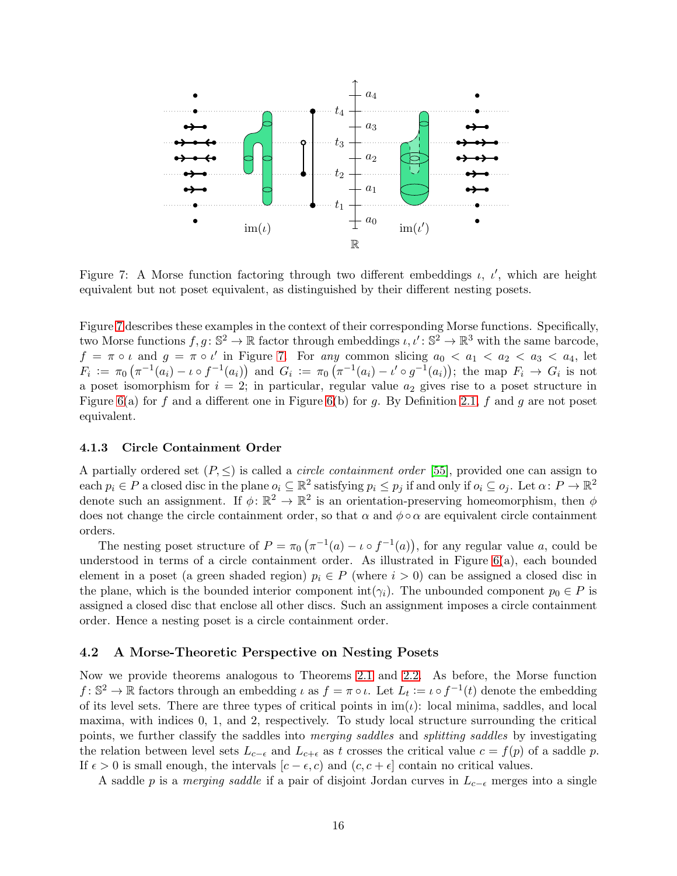

<span id="page-15-0"></span>Figure 7: A Morse function factoring through two different embeddings  $\iota$ ,  $\iota'$ , which are height equivalent but not poset equivalent, as distinguished by their different nesting posets.

Figure [7](#page-15-0) describes these examples in the context of their corresponding Morse functions. Specifically, two Morse functions  $f, g: \mathbb{S}^2 \to \mathbb{R}$  factor through embeddings  $\iota, \iota' : \mathbb{S}^2 \to \mathbb{R}^3$  with the same barcode,  $f = \pi \circ \iota$  and  $g = \pi \circ \iota'$  in Figure [7.](#page-15-0) For any common slicing  $a_0 < a_1 < a_2 < a_3 < a_4$ , let  $F_i := \pi_0 \left( \pi^{-1}(a_i) - \iota \circ f^{-1}(a_i) \right)$  and  $G_i := \pi_0 \left( \pi^{-1}(a_i) - \iota' \circ g^{-1}(a_i) \right)$ ; the map  $F_i \to G_i$  is not a poset isomorphism for  $i = 2$ ; in particular, regular value  $a_2$  gives rise to a poset structure in Figure [6\(](#page-14-0)a) for f and a different one in Figure 6(b) for q. By Definition [2.1,](#page-8-1) f and q are not poset equivalent.

#### 4.1.3 Circle Containment Order

A partially ordered set  $(P, \leq)$  is called a *circle containment order* [\[55\]](#page-28-17), provided one can assign to each  $p_i \in P$  a closed disc in the plane  $o_i \subseteq \mathbb{R}^2$  satisfying  $p_i \leq p_j$  if and only if  $o_i \subseteq o_j$ . Let  $\alpha \colon P \to \mathbb{R}^2$ denote such an assignment. If  $\phi: \mathbb{R}^2 \to \mathbb{R}^2$  is an orientation-preserving homeomorphism, then  $\phi$ does not change the circle containment order, so that  $\alpha$  and  $\phi \circ \alpha$  are equivalent circle containment orders.

The nesting poset structure of  $P = \pi_0 \left( \pi^{-1}(a) - \iota \circ f^{-1}(a) \right)$ , for any regular value a, could be understood in terms of a circle containment order. As illustrated in Figure [6\(](#page-14-0)a), each bounded element in a poset (a green shaded region)  $p_i \in P$  (where  $i > 0$ ) can be assigned a closed disc in the plane, which is the bounded interior component int( $\gamma_i$ ). The unbounded component  $p_0 \in P$  is assigned a closed disc that enclose all other discs. Such an assignment imposes a circle containment order. Hence a nesting poset is a circle containment order.

#### 4.2 A Morse-Theoretic Perspective on Nesting Posets

Now we provide theorems analogous to Theorems [2.1](#page-5-1) and [2.2.](#page-5-2) As before, the Morse function  $f: \mathbb{S}^2 \to \mathbb{R}$  factors through an embedding  $\iota$  as  $f = \pi \circ \iota$ . Let  $L_t := \iota \circ f^{-1}(t)$  denote the embedding of its level sets. There are three types of critical points in  $\text{im}(\iota)$ : local minima, saddles, and local maxima, with indices 0, 1, and 2, respectively. To study local structure surrounding the critical points, we further classify the saddles into merging saddles and splitting saddles by investigating the relation between level sets  $L_{c-\epsilon}$  and  $L_{c+\epsilon}$  as t crosses the critical value  $c = f(p)$  of a saddle p. If  $\epsilon > 0$  is small enough, the intervals  $[c - \epsilon, c]$  and  $(c, c + \epsilon]$  contain no critical values.

A saddle p is a merging saddle if a pair of disjoint Jordan curves in  $L_{c-\epsilon}$  merges into a single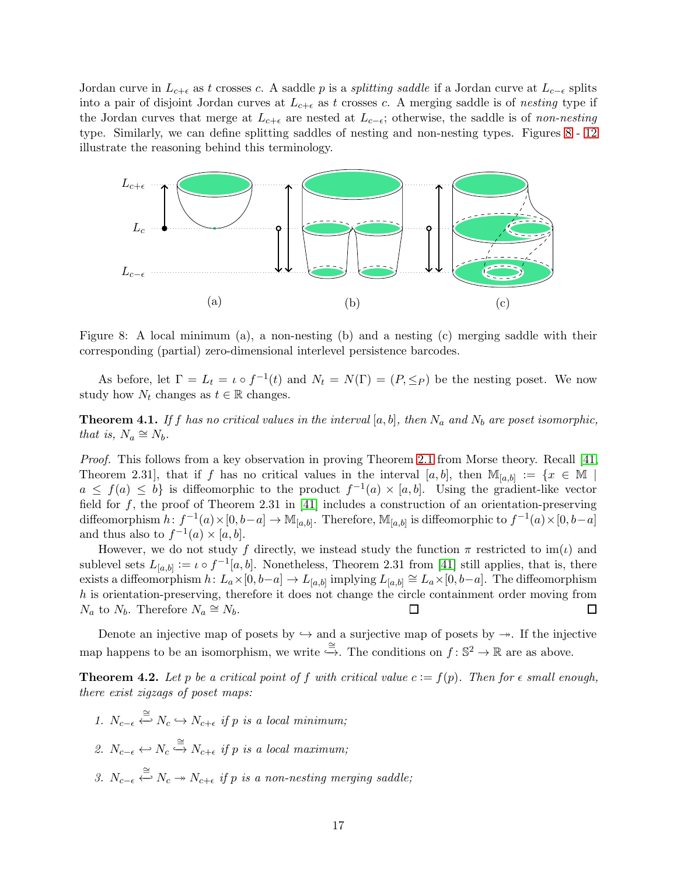Jordan curve in  $L_{c+\epsilon}$  as t crosses c. A saddle p is a *splitting saddle* if a Jordan curve at  $L_{c-\epsilon}$  splits into a pair of disjoint Jordan curves at  $L_{c+\epsilon}$  as t crosses c. A merging saddle is of nesting type if the Jordan curves that merge at  $L_{c+\epsilon}$  are nested at  $L_{c-\epsilon}$ ; otherwise, the saddle is of non-nesting type. Similarly, we can define splitting saddles of nesting and non-nesting types. Figures [8](#page-16-0)- [12](#page-20-1) illustrate the reasoning behind this terminology.



<span id="page-16-0"></span>Figure 8: A local minimum (a), a non-nesting (b) and a nesting (c) merging saddle with their corresponding (partial) zero-dimensional interlevel persistence barcodes.

As before, let  $\Gamma = L_t = \iota \circ f^{-1}(t)$  and  $N_t = N(\Gamma) = (P, \leq_P)$  be the nesting poset. We now study how  $N_t$  changes as  $t \in \mathbb{R}$  changes.

<span id="page-16-4"></span>**Theorem 4.1.** If f has no critical values in the interval [a, b], then  $N_a$  and  $N_b$  are poset isomorphic, that is,  $N_a \cong N_b$ .

Proof. This follows from a key observation in proving Theorem [2.1](#page-5-1) from Morse theory. Recall [\[41,](#page-28-14) Theorem 2.31, that if f has no critical values in the interval  $[a, b]$ , then  $\mathbb{M}_{[a,b]} := \{x \in \mathbb{M} \mid$  $a \leq f(a) \leq b$  is diffeomorphic to the product  $f^{-1}(a) \times [a, b]$ . Using the gradient-like vector field for  $f$ , the proof of Theorem 2.31 in [\[41\]](#page-28-14) includes a construction of an orientation-preserving diffeomorphism  $h: f^{-1}(a) \times [0, b-a] \to \mathbb{M}_{[a,b]}$ . Therefore,  $\mathbb{M}_{[a,b]}$  is diffeomorphic to  $f^{-1}(a) \times [0, b-a]$ and thus also to  $f^{-1}(a) \times [a, b]$ .

However, we do not study f directly, we instead study the function  $\pi$  restricted to im(*i*) and sublevel sets  $L_{[a,b]} := \iota \circ f^{-1}[a,b]$ . Nonetheless, Theorem 2.31 from [\[41\]](#page-28-14) still applies, that is, there exists a diffeomorphism  $h: L_a \times [0, b-a] \to L_{[a,b]}$  implying  $L_{[a,b]} \cong L_a \times [0, b-a]$ . The diffeomorphism h is orientation-preserving, therefore it does not change the circle containment order moving from  $N_a$  to  $N_b$ . Therefore  $N_a \cong N_b$ . □  $\Box$ 

Denote an injective map of posets by  $\hookrightarrow$  and a surjective map of posets by  $\twoheadrightarrow$ . If the injective map happens to be an isomorphism, we write  $\stackrel{\cong}{\hookrightarrow}$ . The conditions on  $f: \mathbb{S}^2 \to \mathbb{R}$  are as above.

<span id="page-16-3"></span>**Theorem 4.2.** Let p be a critical point of f with critical value  $c := f(p)$ . Then for  $\epsilon$  small enough, there exist zigzags of poset maps:

- <span id="page-16-1"></span>1.  $N_{c-\epsilon} \stackrel{\cong}{\leftarrow} N_c \hookrightarrow N_{c+\epsilon}$  if p is a local minimum;
- <span id="page-16-2"></span>2.  $N_{c-\epsilon} \leftrightarrow N_c \stackrel{\cong}{\hookrightarrow} N_{c+\epsilon}$  if p is a local maximum;
- 3.  $N_{c-\epsilon} \stackrel{\cong}{\leftarrow} N_c \twoheadrightarrow N_{c+\epsilon}$  if p is a non-nesting merging saddle;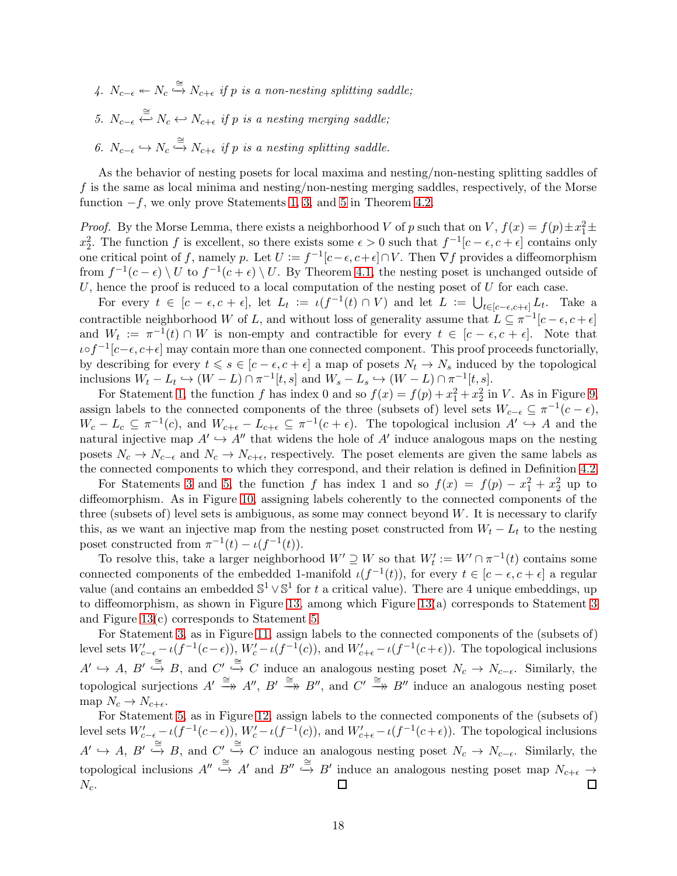- <span id="page-17-1"></span><span id="page-17-0"></span> $4. N_{c-\epsilon} \leftarrow N_c \stackrel{\cong}{\hookrightarrow} N_{c+\epsilon}$  if p is a non-nesting splitting saddle;
- <span id="page-17-2"></span>5.  $N_{c-\epsilon} \stackrel{\cong}{\leftarrow} N_c \leftarrow N_{c+\epsilon}$  if p is a nesting merging saddle;
- 6.  $N_{c-\epsilon} \hookrightarrow N_c \stackrel{\cong}{\hookrightarrow} N_{c+\epsilon}$  if p is a nesting splitting saddle.

As the behavior of nesting posets for local maxima and nesting/non-nesting splitting saddles of f is the same as local minima and nesting/non-nesting merging saddles, respectively, of the Morse function  $-f$ , we only prove Statements [1,](#page-16-1) [3,](#page-16-2) and [5](#page-17-0) in Theorem [4.2.](#page-16-3)

*Proof.* By the Morse Lemma, there exists a neighborhood V of p such that on V,  $f(x) = f(p) \pm x_1^2 \pm$  $x_2^2$ . The function f is excellent, so there exists some  $\epsilon > 0$  such that  $f^{-1}[c - \epsilon, c + \epsilon]$  contains only one critical point of f, namely p. Let  $U := f^{-1}[c-\epsilon, c+\epsilon] \cap V$ . Then  $\nabla f$  provides a diffeomorphism from  $f^{-1}(c-\epsilon) \setminus U$  to  $f^{-1}(c+\epsilon) \setminus U$ . By Theorem [4.1,](#page-16-4) the nesting poset is unchanged outside of U, hence the proof is reduced to a local computation of the nesting poset of  $U$  for each case.

For every  $t \in [c - \epsilon, c + \epsilon]$ , let  $L_t := \iota(f^{-1}(t) \cap V)$  and let  $L := \bigcup_{t \in [c - \epsilon, c + \epsilon]} L_t$ . Take a contractible neighborhood W of L, and without loss of generality assume that  $L \subseteq \pi^{-1}[c - \epsilon, c + \epsilon]$ and  $W_t := \pi^{-1}(t) \cap W$  is non-empty and contractible for every  $t \in [c - \epsilon, c + \epsilon]$ . Note that ιο $f^{-1}[c-\epsilon, c+\epsilon]$  may contain more than one connected component. This proof proceeds functorially, by describing for every  $t \le s \in [c - \epsilon, c + \epsilon]$  a map of posets  $N_t \to N_s$  induced by the topological inclusions  $W_t - L_t \hookrightarrow (W - L) \cap \pi^{-1}[t, s]$  and  $W_s - L_s \hookrightarrow (W - L) \cap \pi^{-1}[t, s]$ .

For Statement [1,](#page-16-1) the function f has index 0 and so  $f(x) = f(p) + x_1^2 + x_2^2$  in V. As in Figure [9,](#page-18-0) assign labels to the connected components of the three (subsets of) level sets  $W_{c-\epsilon} \subseteq \pi^{-1}(c-\epsilon)$ ,  $W_c - L_c \subseteq \pi^{-1}(c)$ , and  $W_{c+\epsilon} - L_{c+\epsilon} \subseteq \pi^{-1}(c+\epsilon)$ . The topological inclusion  $A' \hookrightarrow A$  and the natural injective map  $A' \hookrightarrow A''$  that widens the hole of  $A'$  induce analogous maps on the nesting posets  $N_c \to N_{c-\epsilon}$  and  $N_c \to N_{c+\epsilon}$ , respectively. The poset elements are given the same labels as the connected components to which they correspond, and their relation is defined in Definition [4.2.](#page-14-1)

For Statements [3](#page-16-2) and [5,](#page-17-0) the function f has index 1 and so  $f(x) = f(p) - x_1^2 + x_2^2$  up to diffeomorphism. As in Figure [10,](#page-19-0) assigning labels coherently to the connected components of the three (subsets of) level sets is ambiguous, as some may connect beyond W. It is necessary to clarify this, as we want an injective map from the nesting poset constructed from  $W_t - L_t$  to the nesting poset constructed from  $\pi^{-1}(t) - \iota(f^{-1}(t)).$ 

To resolve this, take a larger neighborhood  $W' \supseteq W$  so that  $W'_t := W' \cap \pi^{-1}(t)$  contains some connected components of the embedded 1-manifold  $\iota(f^{-1}(t))$ , for every  $t \in [c - \epsilon, c + \epsilon]$  a regular value (and contains an embedded  $\mathbb{S}^1 \vee \mathbb{S}^1$  for t a critical value). There are 4 unique embeddings, up to diffeomorphism, as shown in Figure [13,](#page-21-0) among which Figure [13\(](#page-21-0)a) corresponds to Statement [3](#page-16-2) and Figure [13\(](#page-21-0)c) corresponds to Statement [5.](#page-17-0)

For Statement [3,](#page-16-2) as in Figure [11,](#page-19-1) assign labels to the connected components of the (subsets of) level sets  $W'_{c-\epsilon} - \iota(f^{-1}(c-\epsilon))$ ,  $W'_{c} - \iota(f^{-1}(c))$ , and  $W'_{c+\epsilon} - \iota(f^{-1}(c+\epsilon))$ . The topological inclusions  $A' \hookrightarrow A, B' \stackrel{\cong}{\hookrightarrow} B$ , and  $C' \stackrel{\cong}{\hookrightarrow} C$  induce an analogous nesting poset  $N_c \to N_{c-\epsilon}$ . Similarly, the topological surjections  $A' \stackrel{\cong}{\longrightarrow} A''$ ,  $B' \stackrel{\cong}{\longrightarrow} B''$ , and  $C' \stackrel{\cong}{\longrightarrow} B''$  induce an analogous nesting poset map  $N_c \to N_{c+\epsilon}$ .

For Statement [5,](#page-17-0) as in Figure [12,](#page-20-1) assign labels to the connected components of the (subsets of) level sets  $W'_{c-\epsilon} - \iota(f^{-1}(c-\epsilon))$ ,  $W'_{c} - \iota(f^{-1}(c))$ , and  $W'_{c+\epsilon} - \iota(f^{-1}(c+\epsilon))$ . The topological inclusions  $A' \hookrightarrow A, B' \stackrel{\cong}{\hookrightarrow} B$ , and  $C' \stackrel{\cong}{\hookrightarrow} C$  induce an analogous nesting poset  $N_c \to N_{c-\epsilon}$ . Similarly, the topological inclusions  $A'' \stackrel{\cong}{\hookrightarrow} A'$  and  $B'' \stackrel{\cong}{\hookrightarrow} B'$  induce an analogous nesting poset map  $N_{c+\epsilon} \to$  $N_c$ .  $\Box$ П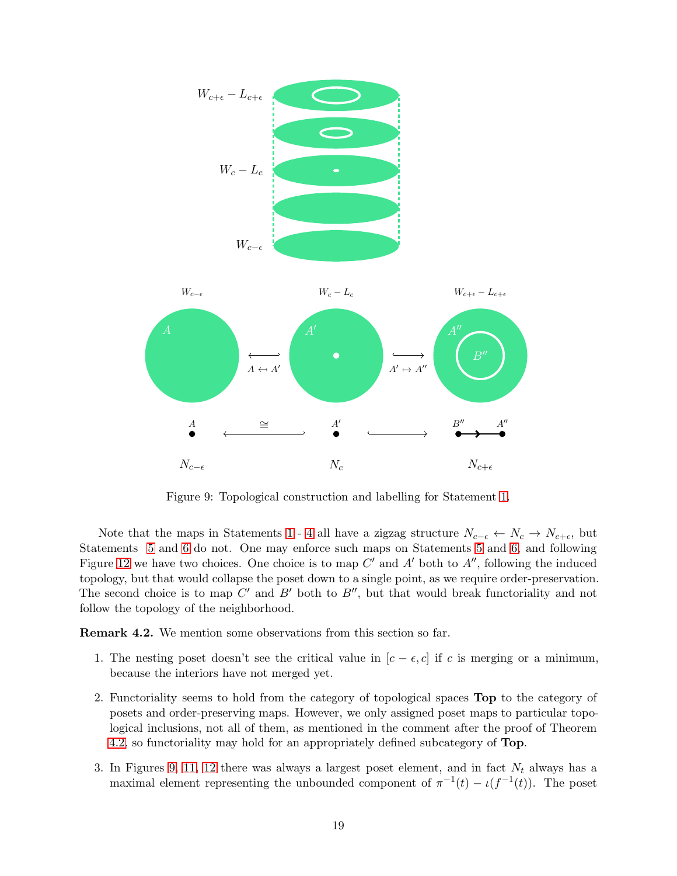

<span id="page-18-0"></span>Figure 9: Topological construction and labelling for Statement [1.](#page-16-1)

Note that the maps in Statements [1](#page-16-1)- [4](#page-17-1) all have a zigzag structure  $N_{c-\epsilon} \leftarrow N_c \rightarrow N_{c+\epsilon}$ , but Statements [5](#page-17-0) and [6](#page-17-2) do not. One may enforce such maps on Statements [5](#page-17-0) and [6,](#page-17-2) and following Figure [12](#page-20-1) we have two choices. One choice is to map  $C'$  and  $A'$  both to  $A''$ , following the induced topology, but that would collapse the poset down to a single point, as we require order-preservation. The second choice is to map  $C'$  and  $B'$  both to  $B''$ , but that would break functoriality and not follow the topology of the neighborhood.

Remark 4.2. We mention some observations from this section so far.

- 1. The nesting poset doesn't see the critical value in  $[c \epsilon, c]$  if c is merging or a minimum, because the interiors have not merged yet.
- 2. Functoriality seems to hold from the category of topological spaces Top to the category of posets and order-preserving maps. However, we only assigned poset maps to particular topological inclusions, not all of them, as mentioned in the comment after the proof of Theorem [4.2,](#page-16-3) so functoriality may hold for an appropriately defined subcategory of Top.
- 3. In Figures [9,](#page-18-0) [11,](#page-19-1) [12](#page-20-1) there was always a largest poset element, and in fact  $N_t$  always has a maximal element representing the unbounded component of  $\pi^{-1}(t) - \iota(f^{-1}(t))$ . The poset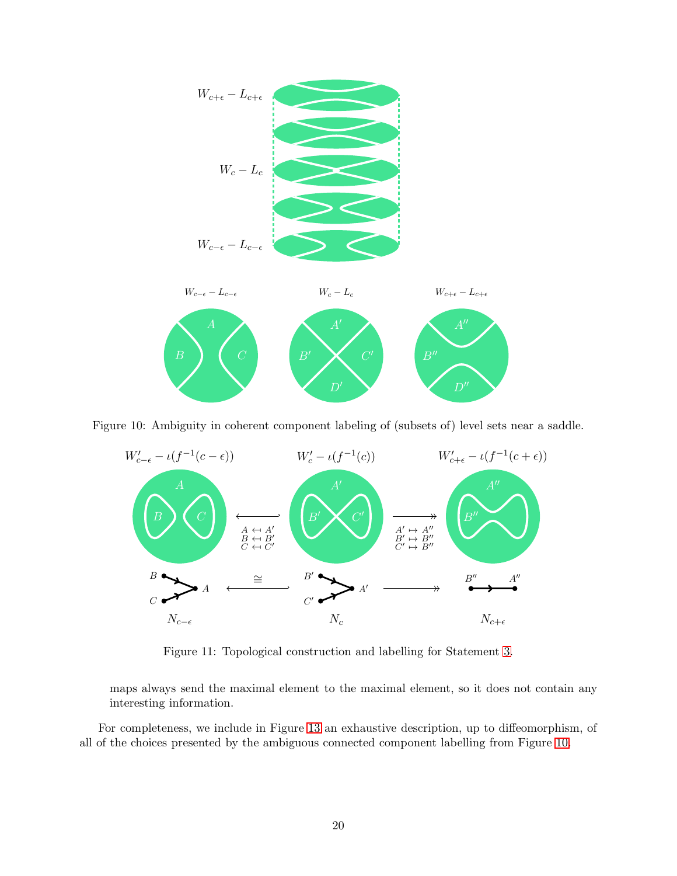

Figure 10: Ambiguity in coherent component labeling of (subsets of) level sets near a saddle.

<span id="page-19-0"></span>

<span id="page-19-1"></span>Figure 11: Topological construction and labelling for Statement [3.](#page-16-2)

maps always send the maximal element to the maximal element, so it does not contain any interesting information.

For completeness, we include in Figure [13](#page-21-0) an exhaustive description, up to diffeomorphism, of all of the choices presented by the ambiguous connected component labelling from Figure [10.](#page-19-0)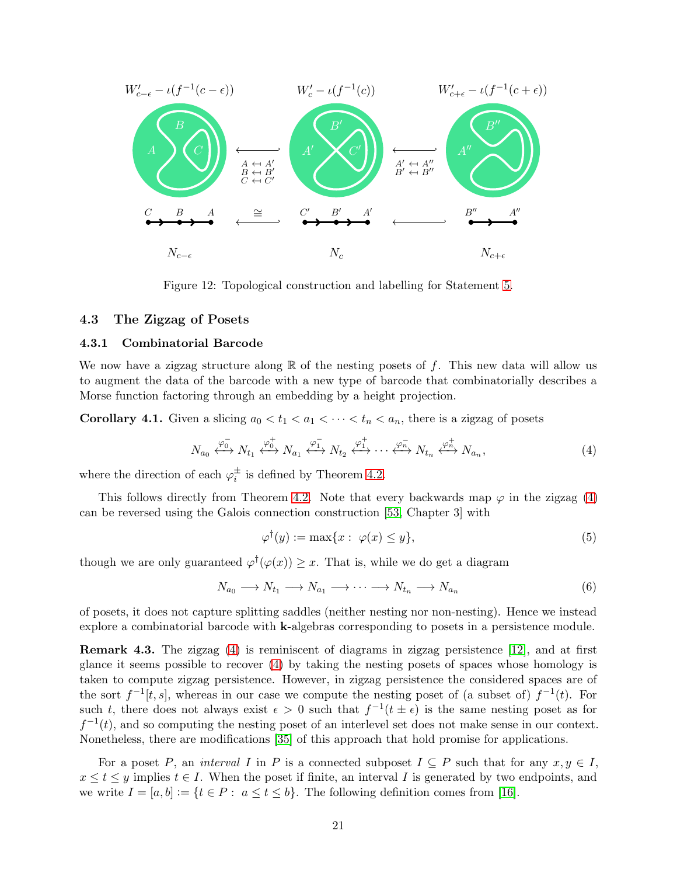

<span id="page-20-1"></span>Figure 12: Topological construction and labelling for Statement [5.](#page-17-0)

#### 4.3 The Zigzag of Posets

#### 4.3.1 Combinatorial Barcode

We now have a zigzag structure along  $\mathbb R$  of the nesting posets of f. This new data will allow us to augment the data of the barcode with a new type of barcode that combinatorially describes a Morse function factoring through an embedding by a height projection.

<span id="page-20-0"></span>**Corollary 4.1.** Given a slicing  $a_0 < t_1 < a_1 < \cdots < t_n < a_n$ , there is a zigzag of posets

$$
N_{a_0} \xleftrightarrow{\varphi_{0}^{-}} N_{t_1} \xleftrightarrow{\varphi_{0}^{+}} N_{a_1} \xleftrightarrow{\varphi_{1}^{-}} N_{t_2} \xleftrightarrow{\varphi_{1}^{+}} \cdots \xleftrightarrow{\varphi_{n}^{-}} N_{t_n} \xleftrightarrow{\varphi_{n}^{+}} N_{a_n}, \tag{4}
$$

where the direction of each  $\varphi_i^{\pm}$  is defined by Theorem [4.2.](#page-16-3)

This follows directly from Theorem [4.2.](#page-16-3) Note that every backwards map  $\varphi$  in the zigzag [\(4\)](#page-20-2) can be reversed using the Galois connection construction [\[53,](#page-28-18) Chapter 3] with

<span id="page-20-2"></span>
$$
\varphi^{\dagger}(y) := \max\{x : \varphi(x) \le y\},\tag{5}
$$

though we are only guaranteed  $\varphi^{\dagger}(\varphi(x)) \geq x$ . That is, while we do get a diagram

$$
N_{a_0} \longrightarrow N_{t_1} \longrightarrow N_{a_1} \longrightarrow \cdots \longrightarrow N_{t_n} \longrightarrow N_{a_n}
$$
\n
$$
(6)
$$

of posets, it does not capture splitting saddles (neither nesting nor non-nesting). Hence we instead explore a combinatorial barcode with k-algebras corresponding to posets in a persistence module.

Remark 4.3. The zigzag [\(4\)](#page-20-2) is reminiscent of diagrams in zigzag persistence [\[12\]](#page-26-12), and at first glance it seems possible to recover [\(4\)](#page-20-2) by taking the nesting posets of spaces whose homology is taken to compute zigzag persistence. However, in zigzag persistence the considered spaces are of the sort  $f^{-1}[t, s]$ , whereas in our case we compute the nesting poset of (a subset of)  $f^{-1}(t)$ . For such t, there does not always exist  $\epsilon > 0$  such that  $f^{-1}(t \pm \epsilon)$  is the same nesting poset as for  $f^{-1}(t)$ , and so computing the nesting poset of an interlevel set does not make sense in our context. Nonetheless, there are modifications [\[35\]](#page-27-14) of this approach that hold promise for applications.

For a poset P, an interval I in P is a connected subposet  $I \subseteq P$  such that for any  $x, y \in I$ ,  $x \le t \le y$  implies  $t \in I$ . When the poset if finite, an interval I is generated by two endpoints, and we write  $I = [a, b] := \{t \in P : a \le t \le b\}$ . The following definition comes from [\[16\]](#page-26-13).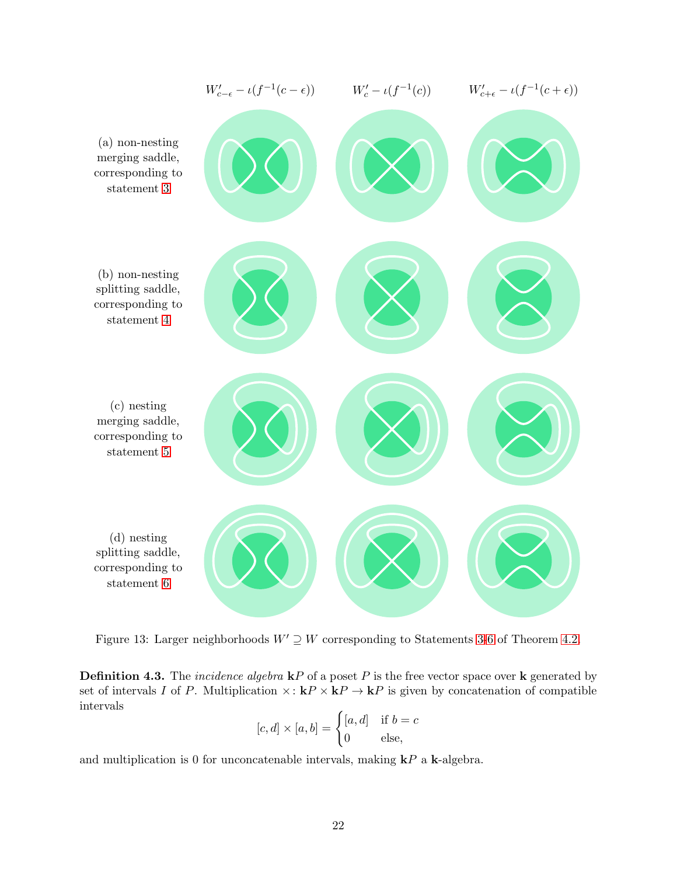

<span id="page-21-0"></span>Figure 13: Larger neighborhoods  $W' \supseteq W$  corresponding to Statements [3](#page-16-2)[-6](#page-17-2) of Theorem [4.2.](#page-16-3)

**Definition 4.3.** The *incidence algebra*  $kP$  of a poset P is the free vector space over k generated by set of intervals I of P. Multiplication  $\times: \mathbf{k}P \times \mathbf{k}P \to \mathbf{k}P$  is given by concatenation of compatible intervals

$$
[c, d] \times [a, b] = \begin{cases} [a, d] & \text{if } b = c \\ 0 & \text{else,} \end{cases}
$$

and multiplication is 0 for unconcatenable intervals, making  $\mathbf{k}P$  a **k**-algebra.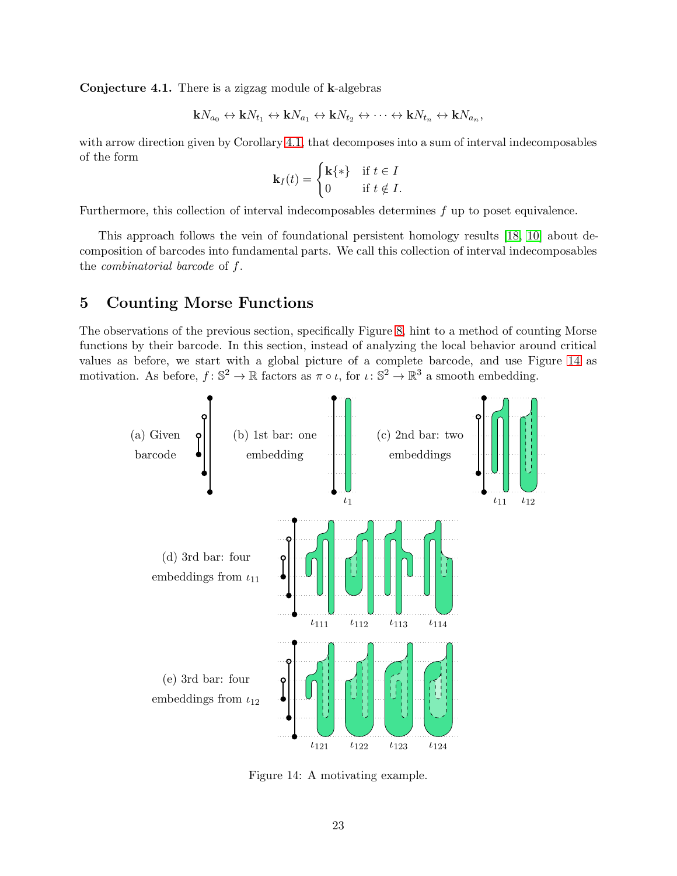<span id="page-22-0"></span>Conjecture 4.1. There is a zigzag module of k-algebras

$$
\mathbf{k}N_{a_0}\leftrightarrow\mathbf{k}N_{t_1}\leftrightarrow\mathbf{k}N_{a_1}\leftrightarrow\mathbf{k}N_{t_2}\leftrightarrow\cdots\leftrightarrow\mathbf{k}N_{t_n}\leftrightarrow\mathbf{k}N_{a_n},
$$

with arrow direction given by Corollary [4.1,](#page-20-0) that decomposes into a sum of interval indecomposables of the form

$$
\mathbf{k}_I(t) = \begin{cases} \mathbf{k}\{\ast\} & \text{if } t \in I \\ 0 & \text{if } t \notin I. \end{cases}
$$

Furthermore, this collection of interval indecomposables determines f up to poset equivalence.

This approach follows the vein of foundational persistent homology results [\[18,](#page-26-14) [10\]](#page-26-15) about decomposition of barcodes into fundamental parts. We call this collection of interval indecomposables the combinatorial barcode of f.

## <span id="page-22-1"></span>5 Counting Morse Functions

The observations of the previous section, specifically Figure [8,](#page-16-0) hint to a method of counting Morse functions by their barcode. In this section, instead of analyzing the local behavior around critical values as before, we start with a global picture of a complete barcode, and use Figure [14](#page-22-2) as motivation. As before,  $f: \mathbb{S}^2 \to \mathbb{R}$  factors as  $\pi \circ \iota$ , for  $\iota: \mathbb{S}^2 \to \mathbb{R}^3$  a smooth embedding.



<span id="page-22-2"></span>Figure 14: A motivating example.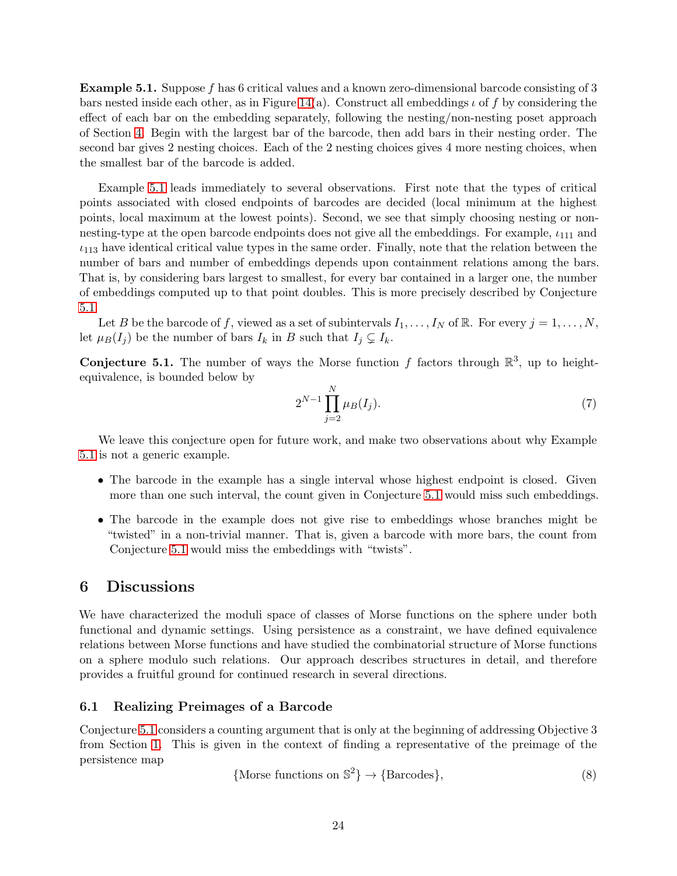<span id="page-23-1"></span>Example 5.1. Suppose f has 6 critical values and a known zero-dimensional barcode consisting of 3 bars nested inside each other, as in Figure [14\(](#page-22-2)a). Construct all embeddings  $\iota$  of f by considering the effect of each bar on the embedding separately, following the nesting/non-nesting poset approach of Section [4.](#page-13-0) Begin with the largest bar of the barcode, then add bars in their nesting order. The second bar gives 2 nesting choices. Each of the 2 nesting choices gives 4 more nesting choices, when the smallest bar of the barcode is added.

Example [5.1](#page-23-1) leads immediately to several observations. First note that the types of critical points associated with closed endpoints of barcodes are decided (local minimum at the highest points, local maximum at the lowest points). Second, we see that simply choosing nesting or nonnesting-type at the open barcode endpoints does not give all the embeddings. For example,  $\iota_{111}$  and  $\iota_{113}$  have identical critical value types in the same order. Finally, note that the relation between the number of bars and number of embeddings depends upon containment relations among the bars. That is, by considering bars largest to smallest, for every bar contained in a larger one, the number of embeddings computed up to that point doubles. This is more precisely described by Conjecture [5.1.](#page-23-0)

Let B be the barcode of f, viewed as a set of subintervals  $I_1, \ldots, I_N$  of R. For every  $j = 1, \ldots, N$ , let  $\mu_B(I_i)$  be the number of bars  $I_k$  in B such that  $I_j \subsetneq I_k$ .

<span id="page-23-0"></span>**Conjecture 5.1.** The number of ways the Morse function f factors through  $\mathbb{R}^3$ , up to heightequivalence, is bounded below by

$$
2^{N-1} \prod_{j=2}^{N} \mu_B(I_j). \tag{7}
$$

We leave this conjecture open for future work, and make two observations about why Example [5.1](#page-23-1) is not a generic example.

- The barcode in the example has a single interval whose highest endpoint is closed. Given more than one such interval, the count given in Conjecture [5.1](#page-23-0) would miss such embeddings.
- The barcode in the example does not give rise to embeddings whose branches might be "twisted" in a non-trivial manner. That is, given a barcode with more bars, the count from Conjecture [5.1](#page-23-0) would miss the embeddings with "twists".

## 6 Discussions

We have characterized the moduli space of classes of Morse functions on the sphere under both functional and dynamic settings. Using persistence as a constraint, we have defined equivalence relations between Morse functions and have studied the combinatorial structure of Morse functions on a sphere modulo such relations. Our approach describes structures in detail, and therefore provides a fruitful ground for continued research in several directions.

#### 6.1 Realizing Preimages of a Barcode

Conjecture [5.1](#page-23-0) considers a counting argument that is only at the beginning of addressing Objective 3 from Section [1.](#page-0-0) This is given in the context of finding a representative of the preimage of the persistence map

$$
\{ \text{Morse functions on } \mathbb{S}^2 \} \to \{ \text{Barcodes} \},\tag{8}
$$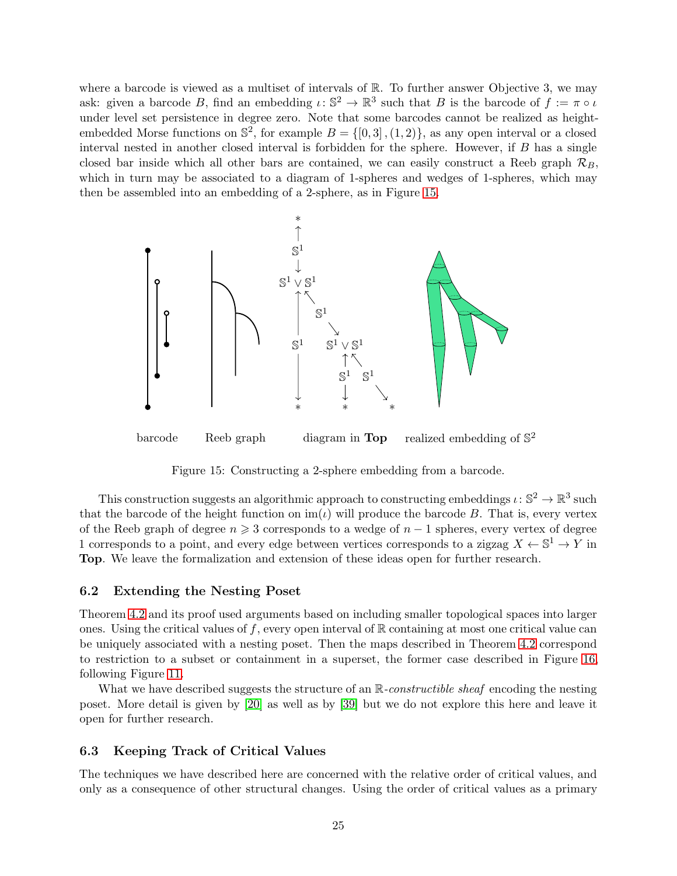where a barcode is viewed as a multiset of intervals of  $\mathbb{R}$ . To further answer Objective 3, we may ask: given a barcode B, find an embedding  $\iota: \mathbb{S}^2 \to \mathbb{R}^3$  such that B is the barcode of  $f := \pi \circ \iota$ under level set persistence in degree zero. Note that some barcodes cannot be realized as heightembedded Morse functions on  $\mathbb{S}^2$ , for example  $B = \{ [0,3], (1,2) \}$ , as any open interval or a closed interval nested in another closed interval is forbidden for the sphere. However, if B has a single closed bar inside which all other bars are contained, we can easily construct a Reeb graph  $\mathcal{R}_B$ , which in turn may be associated to a diagram of 1-spheres and wedges of 1-spheres, which may then be assembled into an embedding of a 2-sphere, as in Figure [15.](#page-24-1)



<span id="page-24-1"></span>Figure 15: Constructing a 2-sphere embedding from a barcode.

This construction suggests an algorithmic approach to constructing embeddings  $\iota: \mathbb{S}^2 \to \mathbb{R}^3$  such that the barcode of the height function on  $\text{im}(\iota)$  will produce the barcode B. That is, every vertex of the Reeb graph of degree  $n \geq 3$  corresponds to a wedge of  $n-1$  spheres, every vertex of degree 1 corresponds to a point, and every edge between vertices corresponds to a zigzag  $X \leftarrow \mathbb{S}^1 \rightarrow Y$  in Top. We leave the formalization and extension of these ideas open for further research.

#### 6.2 Extending the Nesting Poset

Theorem [4.2](#page-16-3) and its proof used arguments based on including smaller topological spaces into larger ones. Using the critical values of f, every open interval of  $\mathbb R$  containing at most one critical value can be uniquely associated with a nesting poset. Then the maps described in Theorem [4.2](#page-16-3) correspond to restriction to a subset or containment in a superset, the former case described in Figure [16,](#page-25-6) following Figure [11.](#page-19-1)

What we have described suggests the structure of an  $\mathbb{R}$ -constructible sheaf encoding the nesting poset. More detail is given by [\[20\]](#page-26-16) as well as by [\[39\]](#page-27-15) but we do not explore this here and leave it open for further research.

### <span id="page-24-0"></span>6.3 Keeping Track of Critical Values

The techniques we have described here are concerned with the relative order of critical values, and only as a consequence of other structural changes. Using the order of critical values as a primary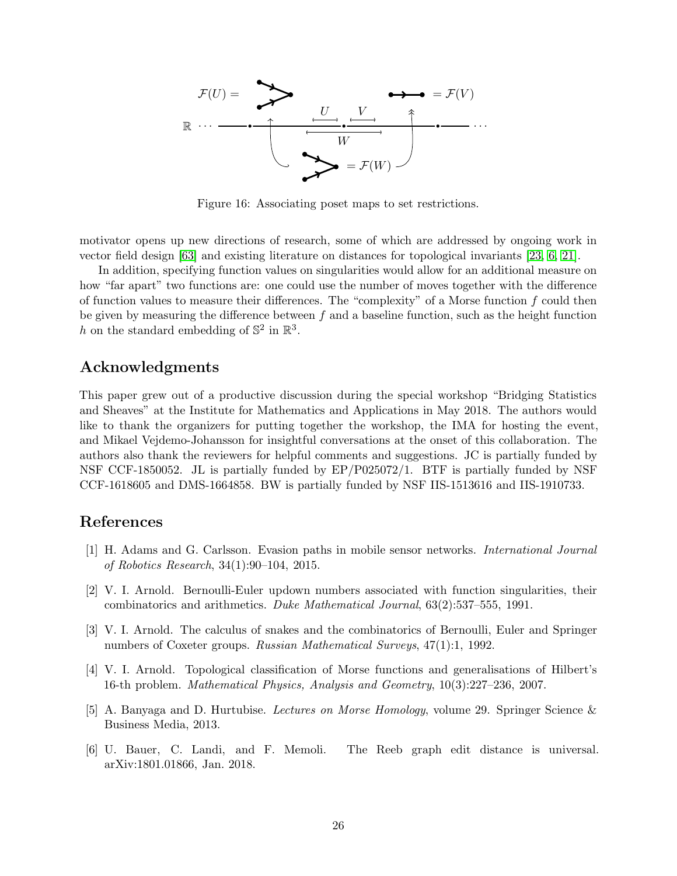

<span id="page-25-6"></span>Figure 16: Associating poset maps to set restrictions.

motivator opens up new directions of research, some of which are addressed by ongoing work in vector field design [\[63\]](#page-29-4) and existing literature on distances for topological invariants [\[23,](#page-26-7) [6,](#page-25-3) [21\]](#page-26-11).

In addition, specifying function values on singularities would allow for an additional measure on how "far apart" two functions are: one could use the number of moves together with the difference of function values to measure their differences. The "complexity" of a Morse function  $f$  could then be given by measuring the difference between  $f$  and a baseline function, such as the height function h on the standard embedding of  $\mathbb{S}^2$  in  $\mathbb{R}^3$ .

## Acknowledgments

This paper grew out of a productive discussion during the special workshop "Bridging Statistics and Sheaves" at the Institute for Mathematics and Applications in May 2018. The authors would like to thank the organizers for putting together the workshop, the IMA for hosting the event, and Mikael Vejdemo-Johansson for insightful conversations at the onset of this collaboration. The authors also thank the reviewers for helpful comments and suggestions. JC is partially funded by NSF CCF-1850052. JL is partially funded by EP/P025072/1. BTF is partially funded by NSF CCF-1618605 and DMS-1664858. BW is partially funded by NSF IIS-1513616 and IIS-1910733.

## <span id="page-25-4"></span>References

- [1] H. Adams and G. Carlsson. Evasion paths in mobile sensor networks. International Journal of Robotics Research, 34(1):90–104, 2015.
- <span id="page-25-0"></span>[2] V. I. Arnold. Bernoulli-Euler updown numbers associated with function singularities, their combinatorics and arithmetics. Duke Mathematical Journal, 63(2):537–555, 1991.
- <span id="page-25-1"></span>[3] V. I. Arnold. The calculus of snakes and the combinatorics of Bernoulli, Euler and Springer numbers of Coxeter groups. Russian Mathematical Surveys, 47(1):1, 1992.
- <span id="page-25-2"></span>[4] V. I. Arnold. Topological classification of Morse functions and generalisations of Hilbert's 16-th problem. Mathematical Physics, Analysis and Geometry, 10(3):227–236, 2007.
- <span id="page-25-5"></span>[5] A. Banyaga and D. Hurtubise. Lectures on Morse Homology, volume 29. Springer Science & Business Media, 2013.
- <span id="page-25-3"></span>[6] U. Bauer, C. Landi, and F. Memoli. The Reeb graph edit distance is universal. arXiv:1801.01866, Jan. 2018.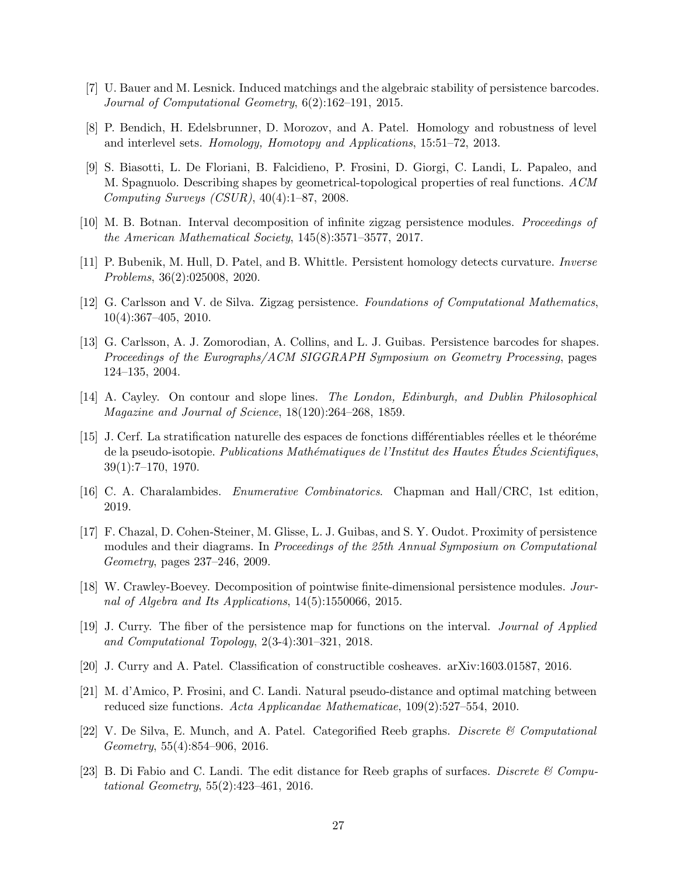- <span id="page-26-9"></span><span id="page-26-3"></span>[7] U. Bauer and M. Lesnick. Induced matchings and the algebraic stability of persistence barcodes. Journal of Computational Geometry, 6(2):162–191, 2015.
- <span id="page-26-1"></span>[8] P. Bendich, H. Edelsbrunner, D. Morozov, and A. Patel. Homology and robustness of level and interlevel sets. Homology, Homotopy and Applications, 15:51–72, 2013.
- [9] S. Biasotti, L. De Floriani, B. Falcidieno, P. Frosini, D. Giorgi, C. Landi, L. Papaleo, and M. Spagnuolo. Describing shapes by geometrical-topological properties of real functions. ACM Computing Surveys  $(CSUR)$ , 40(4):1–87, 2008.
- <span id="page-26-15"></span><span id="page-26-0"></span>[10] M. B. Botnan. Interval decomposition of infinite zigzag persistence modules. Proceedings of the American Mathematical Society, 145(8):3571–3577, 2017.
- <span id="page-26-12"></span>[11] P. Bubenik, M. Hull, D. Patel, and B. Whittle. Persistent homology detects curvature. Inverse Problems, 36(2):025008, 2020.
- <span id="page-26-5"></span>[12] G. Carlsson and V. de Silva. Zigzag persistence. Foundations of Computational Mathematics, 10(4):367–405, 2010.
- [13] G. Carlsson, A. J. Zomorodian, A. Collins, and L. J. Guibas. Persistence barcodes for shapes. Proceedings of the Eurographs/ACM SIGGRAPH Symposium on Geometry Processing, pages 124–135, 2004.
- <span id="page-26-8"></span><span id="page-26-6"></span>[14] A. Cayley. On contour and slope lines. The London, Edinburgh, and Dublin Philosophical Magazine and Journal of Science, 18(120):264–268, 1859.
- [15] J. Cerf. La stratification naturelle des espaces de fonctions différentiables réelles et le théoréme de la pseudo-isotopie. Publications Mathématiques de l'Institut des Hautes Études Scientifiques. 39(1):7–170, 1970.
- <span id="page-26-13"></span><span id="page-26-10"></span>[16] C. A. Charalambides. Enumerative Combinatorics. Chapman and Hall/CRC, 1st edition, 2019.
- [17] F. Chazal, D. Cohen-Steiner, M. Glisse, L. J. Guibas, and S. Y. Oudot. Proximity of persistence modules and their diagrams. In Proceedings of the 25th Annual Symposium on Computational Geometry, pages 237–246, 2009.
- <span id="page-26-14"></span>[18] W. Crawley-Boevey. Decomposition of pointwise finite-dimensional persistence modules. Journal of Algebra and Its Applications, 14(5):1550066, 2015.
- <span id="page-26-2"></span>[19] J. Curry. The fiber of the persistence map for functions on the interval. Journal of Applied and Computational Topology, 2(3-4):301–321, 2018.
- <span id="page-26-16"></span><span id="page-26-11"></span>[20] J. Curry and A. Patel. Classification of constructible cosheaves. arXiv:1603.01587, 2016.
- [21] M. d'Amico, P. Frosini, and C. Landi. Natural pseudo-distance and optimal matching between reduced size functions. Acta Applicandae Mathematicae, 109(2):527–554, 2010.
- <span id="page-26-4"></span>[22] V. De Silva, E. Munch, and A. Patel. Categorified Reeb graphs. Discrete  $\mathcal{C}$  Computational Geometry, 55(4):854–906, 2016.
- <span id="page-26-7"></span>[23] B. Di Fabio and C. Landi. The edit distance for Reeb graphs of surfaces. Discrete  $\mathcal C$  Computational Geometry, 55(2):423–461, 2016.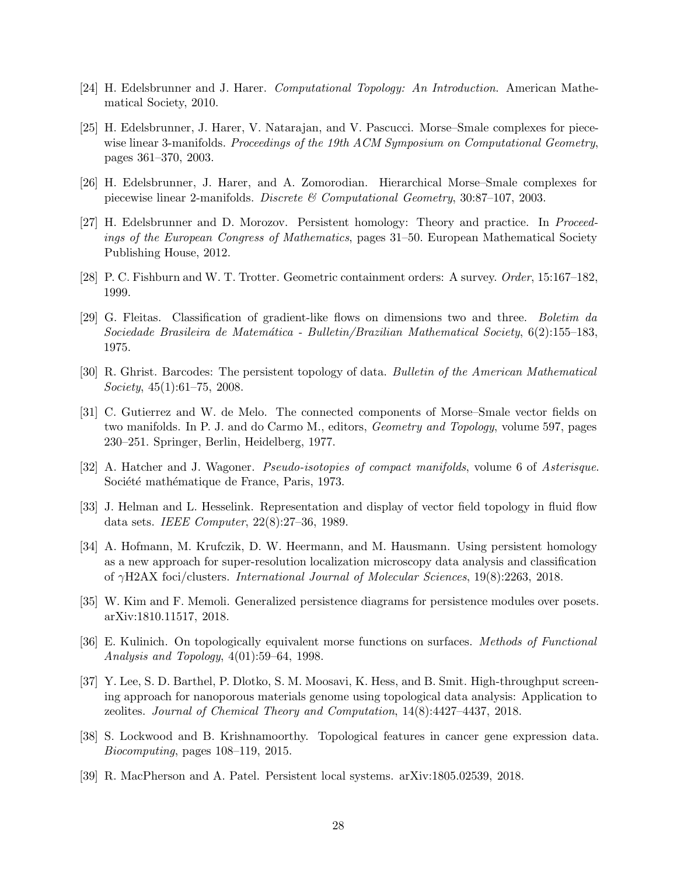- <span id="page-27-3"></span><span id="page-27-0"></span>[24] H. Edelsbrunner and J. Harer. Computational Topology: An Introduction. American Mathematical Society, 2010.
- [25] H. Edelsbrunner, J. Harer, V. Natarajan, and V. Pascucci. Morse–Smale complexes for piecewise linear 3-manifolds. Proceedings of the 19th ACM Symposium on Computational Geometry, pages 361–370, 2003.
- <span id="page-27-4"></span><span id="page-27-2"></span>[26] H. Edelsbrunner, J. Harer, and A. Zomorodian. Hierarchical Morse–Smale complexes for piecewise linear 2-manifolds. Discrete  $\mathcal{B}$  Computational Geometry, 30:87–107, 2003.
- [27] H. Edelsbrunner and D. Morozov. Persistent homology: Theory and practice. In Proceedings of the European Congress of Mathematics, pages 31–50. European Mathematical Society Publishing House, 2012.
- <span id="page-27-13"></span><span id="page-27-5"></span>[28] P. C. Fishburn and W. T. Trotter. Geometric containment orders: A survey. Order, 15:167–182, 1999.
- [29] G. Fleitas. Classification of gradient-like flows on dimensions two and three. Boletim da Sociedade Brasileira de Matem´atica - Bulletin/Brazilian Mathematical Society, 6(2):155–183, 1975.
- <span id="page-27-6"></span><span id="page-27-1"></span>[30] R. Ghrist. Barcodes: The persistent topology of data. Bulletin of the American Mathematical Society, 45(1):61–75, 2008.
- [31] C. Gutierrez and W. de Melo. The connected components of Morse–Smale vector fields on two manifolds. In P. J. and do Carmo M., editors, Geometry and Topology, volume 597, pages 230–251. Springer, Berlin, Heidelberg, 1977.
- <span id="page-27-12"></span><span id="page-27-11"></span>[32] A. Hatcher and J. Wagoner. *Pseudo-isotopies of compact manifolds*, volume 6 of Asterisque. Société mathématique de France, Paris, 1973.
- <span id="page-27-8"></span>[33] J. Helman and L. Hesselink. Representation and display of vector field topology in fluid flow data sets. IEEE Computer, 22(8):27–36, 1989.
- [34] A. Hofmann, M. Krufczik, D. W. Heermann, and M. Hausmann. Using persistent homology as a new approach for super-resolution localization microscopy data analysis and classification of γH2AX foci/clusters. International Journal of Molecular Sciences, 19(8):2263, 2018.
- <span id="page-27-14"></span>[35] W. Kim and F. Memoli. Generalized persistence diagrams for persistence modules over posets. arXiv:1810.11517, 2018.
- <span id="page-27-10"></span>[36] E. Kulinich. On topologically equivalent morse functions on surfaces. Methods of Functional Analysis and Topology, 4(01):59–64, 1998.
- <span id="page-27-9"></span>[37] Y. Lee, S. D. Barthel, P. Dlotko, S. M. Moosavi, K. Hess, and B. Smit. High-throughput screening approach for nanoporous materials genome using topological data analysis: Application to zeolites. Journal of Chemical Theory and Computation, 14(8):4427–4437, 2018.
- <span id="page-27-7"></span>[38] S. Lockwood and B. Krishnamoorthy. Topological features in cancer gene expression data. Biocomputing, pages 108–119, 2015.
- <span id="page-27-15"></span>[39] R. MacPherson and A. Patel. Persistent local systems. arXiv:1805.02539, 2018.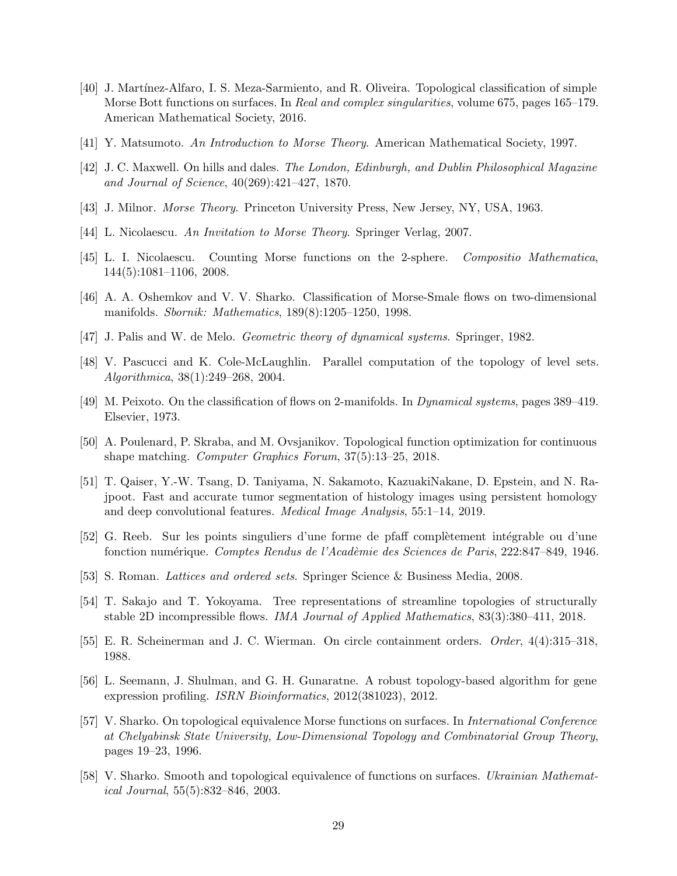- <span id="page-28-16"></span>[40] J. Mart´ınez-Alfaro, I. S. Meza-Sarmiento, and R. Oliveira. Topological classification of simple Morse Bott functions on surfaces. In Real and complex singularities, volume 675, pages 165–179. American Mathematical Society, 2016.
- <span id="page-28-14"></span><span id="page-28-8"></span>[41] Y. Matsumoto. An Introduction to Morse Theory. American Mathematical Society, 1997.
- <span id="page-28-0"></span>[42] J. C. Maxwell. On hills and dales. The London, Edinburgh, and Dublin Philosophical Magazine and Journal of Science, 40(269):421–427, 1870.
- <span id="page-28-1"></span>[43] J. Milnor. Morse Theory. Princeton University Press, New Jersey, NY, USA, 1963.
- <span id="page-28-15"></span>[44] L. Nicolaescu. An Invitation to Morse Theory. Springer Verlag, 2007.
- <span id="page-28-12"></span>[45] L. I. Nicolaescu. Counting Morse functions on the 2-sphere. Compositio Mathematica, 144(5):1081–1106, 2008.
- <span id="page-28-4"></span>[46] A. A. Oshemkov and V. V. Sharko. Classification of Morse-Smale flows on two-dimensional manifolds. Sbornik: Mathematics, 189(8):1205–1250, 1998.
- <span id="page-28-11"></span>[47] J. Palis and W. de Melo. Geometric theory of dynamical systems. Springer, 1982.
- <span id="page-28-3"></span>[48] V. Pascucci and K. Cole-McLaughlin. Parallel computation of the topology of level sets. Algorithmica, 38(1):249–268, 2004.
- <span id="page-28-5"></span>[49] M. Peixoto. On the classification of flows on 2-manifolds. In Dynamical systems, pages 389–419. Elsevier, 1973.
- <span id="page-28-7"></span>[50] A. Poulenard, P. Skraba, and M. Ovsjanikov. Topological function optimization for continuous shape matching. Computer Graphics Forum, 37(5):13–25, 2018.
- [51] T. Qaiser, Y.-W. Tsang, D. Taniyama, N. Sakamoto, KazuakiNakane, D. Epstein, and N. Rajpoot. Fast and accurate tumor segmentation of histology images using persistent homology and deep convolutional features. Medical Image Analysis, 55:1–14, 2019.
- <span id="page-28-18"></span><span id="page-28-2"></span>[52] G. Reeb. Sur les points singuliers d'une forme de pfaff complètement intégrable ou d'une fonction numérique. Comptes Rendus de l'Acadèmie des Sciences de Paris, 222:847–849, 1946.
- <span id="page-28-13"></span>[53] S. Roman. Lattices and ordered sets. Springer Science & Business Media, 2008.
- <span id="page-28-17"></span>[54] T. Sakajo and T. Yokoyama. Tree representations of streamline topologies of structurally stable 2D incompressible flows. IMA Journal of Applied Mathematics, 83(3):380–411, 2018.
- <span id="page-28-6"></span>[55] E. R. Scheinerman and J. C. Wierman. On circle containment orders. Order, 4(4):315–318, 1988.
- [56] L. Seemann, J. Shulman, and G. H. Gunaratne. A robust topology-based algorithm for gene expression profiling. *ISRN Bioinformatics*, 2012(381023), 2012.
- <span id="page-28-9"></span>[57] V. Sharko. On topological equivalence Morse functions on surfaces. In International Conference at Chelyabinsk State University, Low-Dimensional Topology and Combinatorial Group Theory, pages 19–23, 1996.
- <span id="page-28-10"></span>[58] V. Sharko. Smooth and topological equivalence of functions on surfaces. Ukrainian Mathematical Journal, 55(5):832–846, 2003.